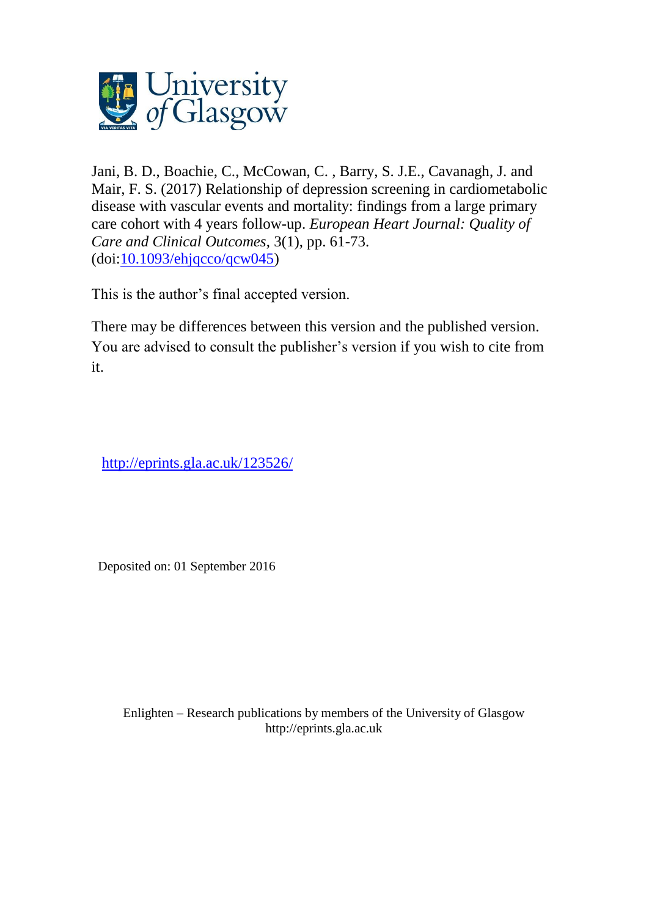

Jani, B. D., Boachie, C., McCowan, C. , Barry, S. J.E., Cavanagh, J. and Mair, F. S. (2017) Relationship of depression screening in cardiometabolic disease with vascular events and mortality: findings from a large primary care cohort with 4 years follow-up. *European Heart Journal: Quality of Care and Clinical Outcomes*, 3(1), pp. 61-73.  $(doi:10.1093/ehjqcco/qcw045)$  $(doi:10.1093/ehjqcco/qcw045)$ 

This is the author's final accepted version.

There may be differences between this version and the published version. You are advised to consult the publisher's version if you wish to cite from it.

<http://eprints.gla.ac.uk/123526/>

Deposited on: 01 September 2016

Enlighten – Research publications by members of the University of Glasgo[w](http://eprints.gla.ac.uk/) [http://eprints.gla.ac.uk](http://eprints.gla.ac.uk/)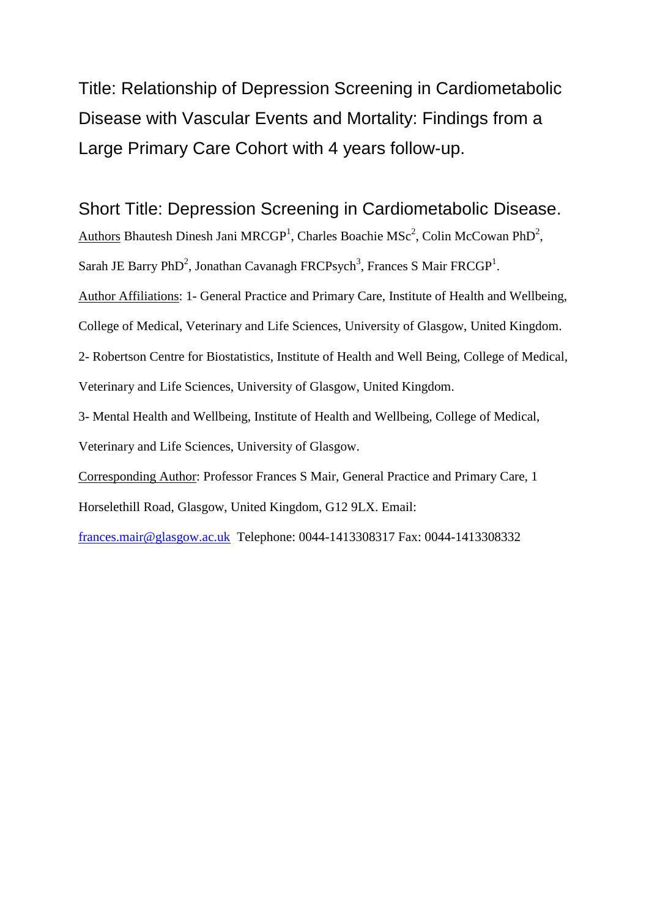Title: Relationship of Depression Screening in Cardiometabolic Disease with Vascular Events and Mortality: Findings from a Large Primary Care Cohort with 4 years follow-up.

Short Title: Depression Screening in Cardiometabolic Disease.

Authors Bhautesh Dinesh Jani MRCGP<sup>1</sup>, Charles Boachie MSc<sup>2</sup>, Colin McCowan PhD<sup>2</sup>,

Sarah JE Barry PhD<sup>2</sup>, Jonathan Cavanagh FRCPsych<sup>3</sup>, Frances S Mair FRCGP<sup>1</sup>.

Author Affiliations: 1- General Practice and Primary Care, Institute of Health and Wellbeing,

College of Medical, Veterinary and Life Sciences, University of Glasgow, United Kingdom.

2- Robertson Centre for Biostatistics, Institute of Health and Well Being, College of Medical, Veterinary and Life Sciences, University of Glasgow, United Kingdom.

3- Mental Health and Wellbeing, Institute of Health and Wellbeing, College of Medical,

Veterinary and Life Sciences, University of Glasgow.

Corresponding Author: Professor Frances S Mair, General Practice and Primary Care, 1

Horselethill Road, Glasgow, United Kingdom, G12 9LX. Email:

[frances.mair@glasgow.ac.uk](mailto:frances.mair@glasgow.ac.uk) Telephone: 0044-1413308317 Fax: 0044-1413308332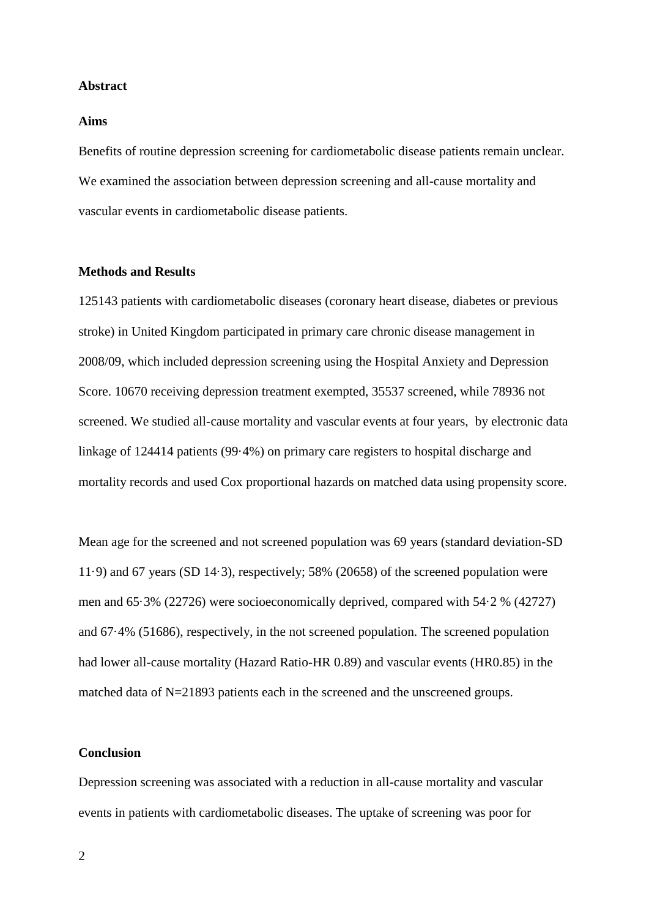#### **Abstract**

#### **Aims**

Benefits of routine depression screening for cardiometabolic disease patients remain unclear. We examined the association between depression screening and all-cause mortality and vascular events in cardiometabolic disease patients.

## **Methods and Results**

125143 patients with cardiometabolic diseases (coronary heart disease, diabetes or previous stroke) in United Kingdom participated in primary care chronic disease management in 2008/09, which included depression screening using the Hospital Anxiety and Depression Score. 10670 receiving depression treatment exempted, 35537 screened, while 78936 not screened. We studied all-cause mortality and vascular events at four years, by electronic data linkage of 124414 patients (99·4%) on primary care registers to hospital discharge and mortality records and used Cox proportional hazards on matched data using propensity score.

Mean age for the screened and not screened population was 69 years (standard deviation-SD 11·9) and 67 years (SD 14·3), respectively; 58% (20658) of the screened population were men and 65·3% (22726) were socioeconomically deprived, compared with 54·2 % (42727) and 67·4% (51686), respectively, in the not screened population. The screened population had lower all-cause mortality (Hazard Ratio-HR 0.89) and vascular events (HR0.85) in the matched data of N=21893 patients each in the screened and the unscreened groups.

## **Conclusion**

Depression screening was associated with a reduction in all-cause mortality and vascular events in patients with cardiometabolic diseases. The uptake of screening was poor for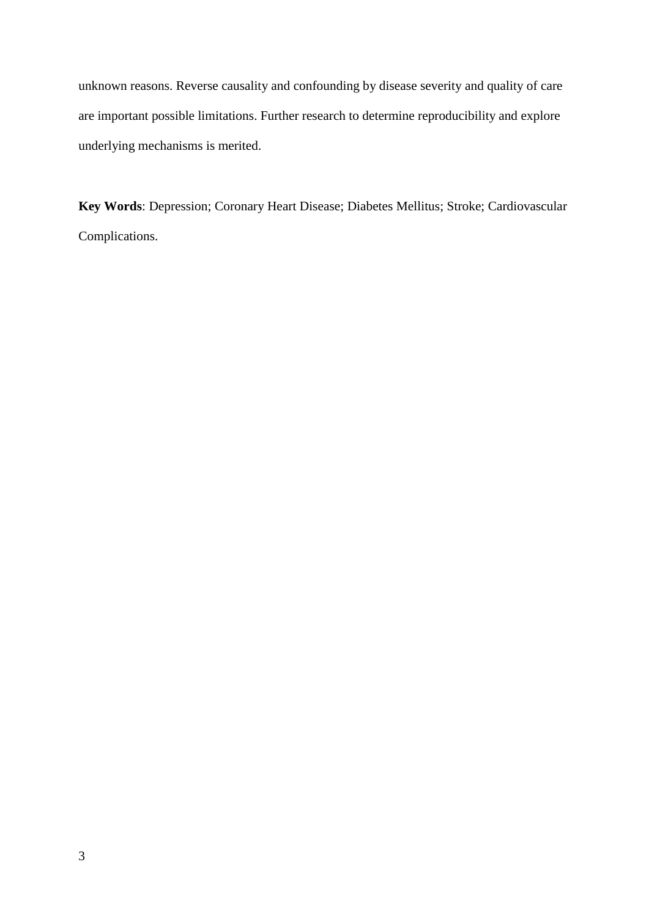unknown reasons. Reverse causality and confounding by disease severity and quality of care are important possible limitations. Further research to determine reproducibility and explore underlying mechanisms is merited.

**Key Words**: Depression; Coronary Heart Disease; Diabetes Mellitus; Stroke; Cardiovascular Complications.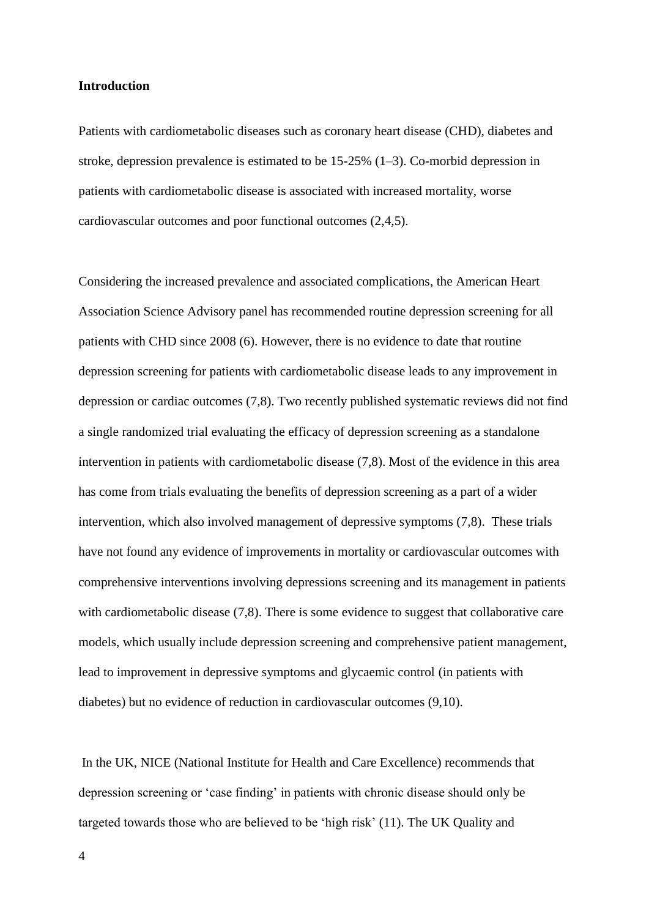#### **Introduction**

Patients with cardiometabolic diseases such as coronary heart disease (CHD), diabetes and stroke, depression prevalence is estimated to be 15-25% (1–3). Co-morbid depression in patients with cardiometabolic disease is associated with increased mortality, worse cardiovascular outcomes and poor functional outcomes (2,4,5).

Considering the increased prevalence and associated complications, the American Heart Association Science Advisory panel has recommended routine depression screening for all patients with CHD since 2008 (6). However, there is no evidence to date that routine depression screening for patients with cardiometabolic disease leads to any improvement in depression or cardiac outcomes (7,8). Two recently published systematic reviews did not find a single randomized trial evaluating the efficacy of depression screening as a standalone intervention in patients with cardiometabolic disease (7,8). Most of the evidence in this area has come from trials evaluating the benefits of depression screening as a part of a wider intervention, which also involved management of depressive symptoms (7,8). These trials have not found any evidence of improvements in mortality or cardiovascular outcomes with comprehensive interventions involving depressions screening and its management in patients with cardiometabolic disease (7,8). There is some evidence to suggest that collaborative care models, which usually include depression screening and comprehensive patient management, lead to improvement in depressive symptoms and glycaemic control (in patients with diabetes) but no evidence of reduction in cardiovascular outcomes (9,10).

In the UK, NICE (National Institute for Health and Care Excellence) recommends that depression screening or 'case finding' in patients with chronic disease should only be targeted towards those who are believed to be 'high risk' (11). The UK Quality and

4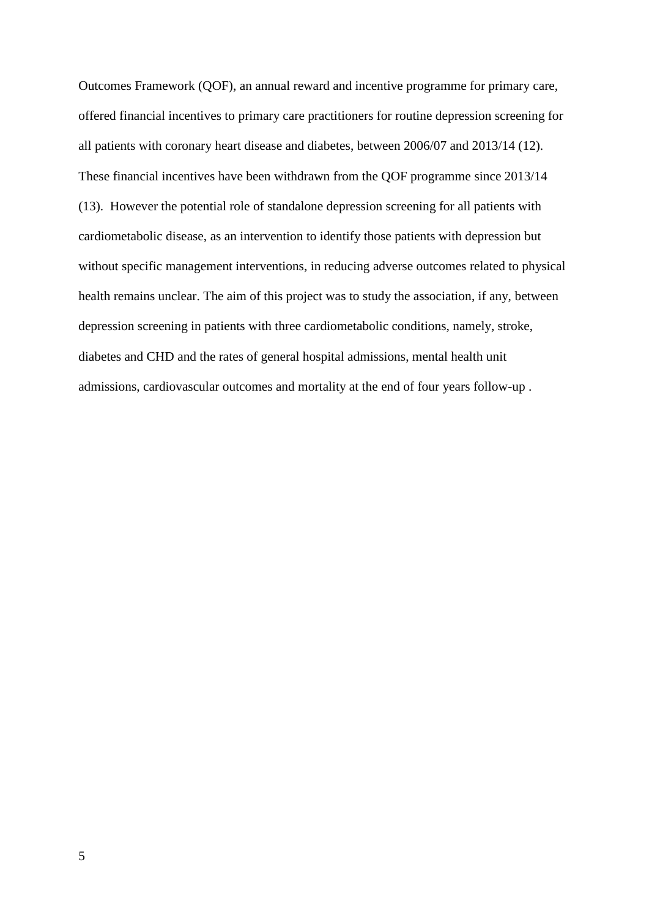Outcomes Framework (QOF), an annual reward and incentive programme for primary care, offered financial incentives to primary care practitioners for routine depression screening for all patients with coronary heart disease and diabetes, between 2006/07 and 2013/14 (12). These financial incentives have been withdrawn from the QOF programme since 2013/14 (13). However the potential role of standalone depression screening for all patients with cardiometabolic disease, as an intervention to identify those patients with depression but without specific management interventions, in reducing adverse outcomes related to physical health remains unclear. The aim of this project was to study the association, if any, between depression screening in patients with three cardiometabolic conditions, namely, stroke, diabetes and CHD and the rates of general hospital admissions, mental health unit admissions, cardiovascular outcomes and mortality at the end of four years follow-up .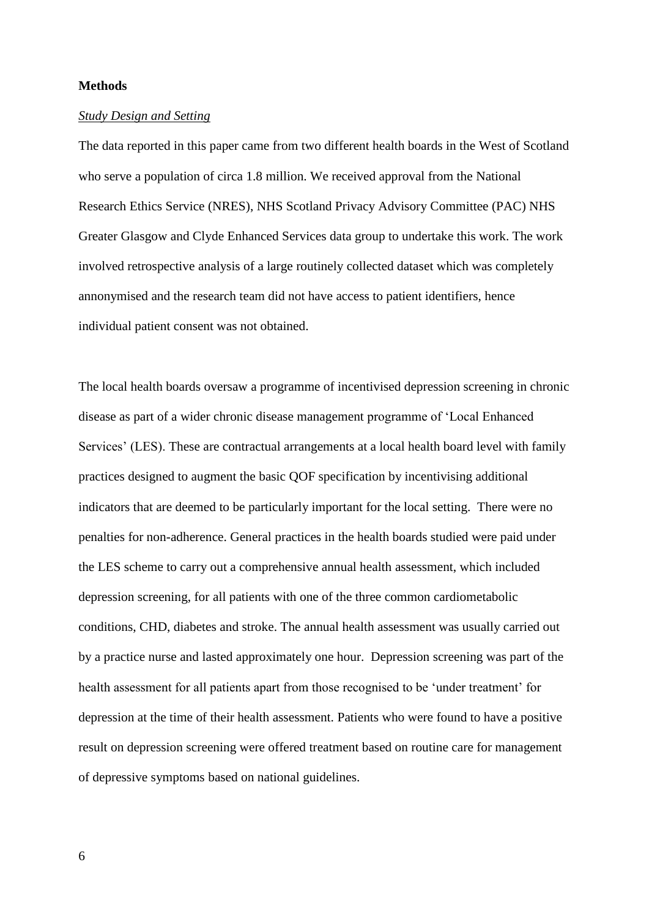## **Methods**

## *Study Design and Setting*

The data reported in this paper came from two different health boards in the West of Scotland who serve a population of circa 1.8 million. We received approval from the National Research Ethics Service (NRES), NHS Scotland Privacy Advisory Committee (PAC) NHS Greater Glasgow and Clyde Enhanced Services data group to undertake this work. The work involved retrospective analysis of a large routinely collected dataset which was completely annonymised and the research team did not have access to patient identifiers, hence individual patient consent was not obtained.

The local health boards oversaw a programme of incentivised depression screening in chronic disease as part of a wider chronic disease management programme of 'Local Enhanced Services' (LES). These are contractual arrangements at a local health board level with family practices designed to augment the basic QOF specification by incentivising additional indicators that are deemed to be particularly important for the local setting. There were no penalties for non-adherence. General practices in the health boards studied were paid under the LES scheme to carry out a comprehensive annual health assessment, which included depression screening, for all patients with one of the three common cardiometabolic conditions, CHD, diabetes and stroke. The annual health assessment was usually carried out by a practice nurse and lasted approximately one hour. Depression screening was part of the health assessment for all patients apart from those recognised to be 'under treatment' for depression at the time of their health assessment. Patients who were found to have a positive result on depression screening were offered treatment based on routine care for management of depressive symptoms based on national guidelines.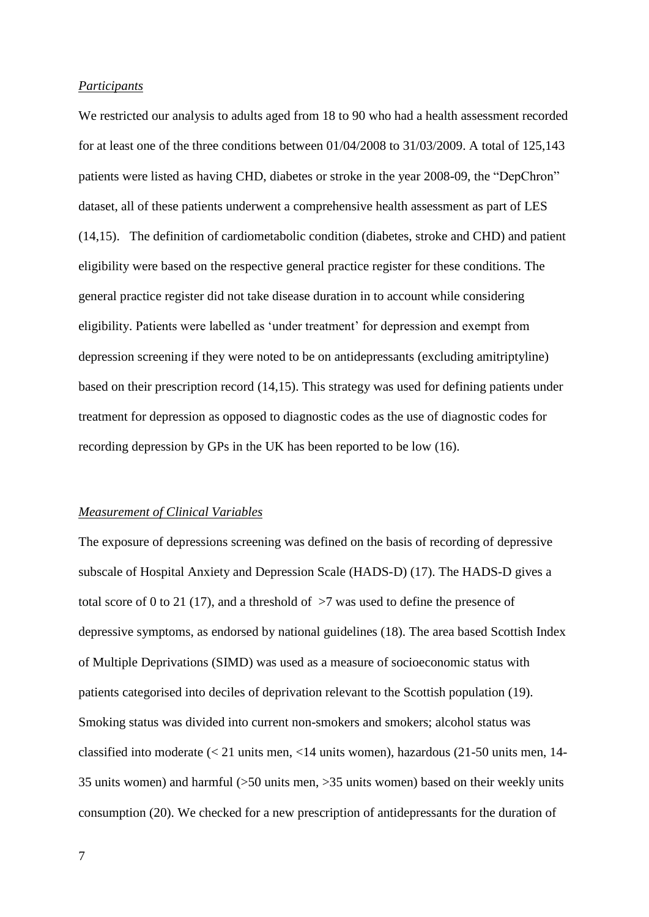#### *Participants*

We restricted our analysis to adults aged from 18 to 90 who had a health assessment recorded for at least one of the three conditions between  $01/04/2008$  to  $31/03/2009$ . A total of  $125,143$ patients were listed as having CHD, diabetes or stroke in the year 2008-09, the "DepChron" dataset, all of these patients underwent a comprehensive health assessment as part of LES (14,15). The definition of cardiometabolic condition (diabetes, stroke and CHD) and patient eligibility were based on the respective general practice register for these conditions. The general practice register did not take disease duration in to account while considering eligibility. Patients were labelled as 'under treatment' for depression and exempt from depression screening if they were noted to be on antidepressants (excluding amitriptyline) based on their prescription record (14,15). This strategy was used for defining patients under treatment for depression as opposed to diagnostic codes as the use of diagnostic codes for recording depression by GPs in the UK has been reported to be low (16).

## *Measurement of Clinical Variables*

The exposure of depressions screening was defined on the basis of recording of depressive subscale of Hospital Anxiety and Depression Scale (HADS-D) (17). The HADS-D gives a total score of 0 to 21 (17), and a threshold of  $>7$  was used to define the presence of depressive symptoms, as endorsed by national guidelines (18). The area based Scottish Index of Multiple Deprivations (SIMD) was used as a measure of socioeconomic status with patients categorised into deciles of deprivation relevant to the Scottish population (19). Smoking status was divided into current non-smokers and smokers; alcohol status was classified into moderate (< 21 units men, <14 units women), hazardous (21-50 units men, 14- 35 units women) and harmful (>50 units men, >35 units women) based on their weekly units consumption (20). We checked for a new prescription of antidepressants for the duration of

7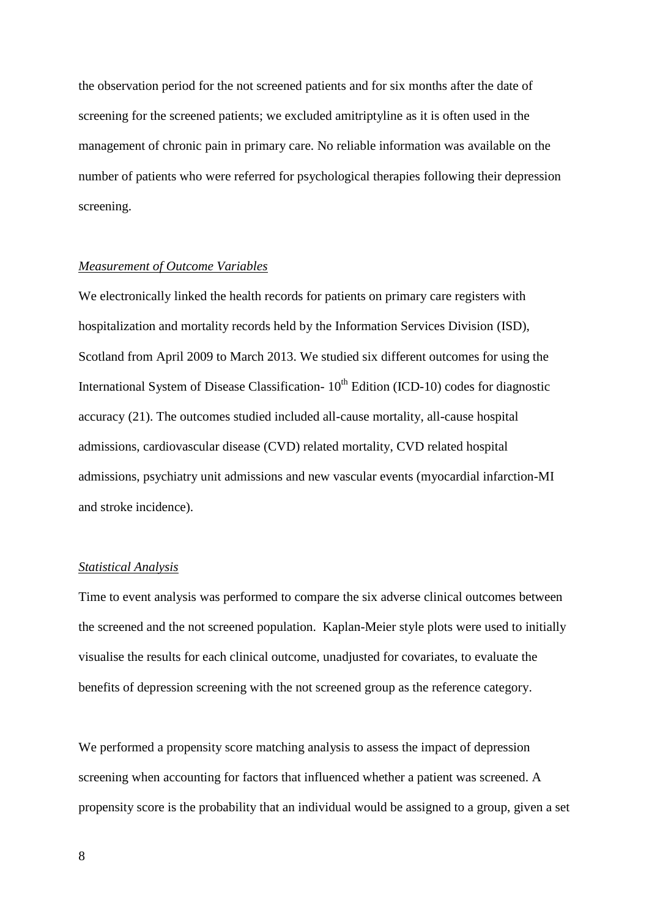the observation period for the not screened patients and for six months after the date of screening for the screened patients; we excluded amitriptyline as it is often used in the management of chronic pain in primary care. No reliable information was available on the number of patients who were referred for psychological therapies following their depression screening.

#### *Measurement of Outcome Variables*

We electronically linked the health records for patients on primary care registers with hospitalization and mortality records held by the Information Services Division (ISD), Scotland from April 2009 to March 2013. We studied six different outcomes for using the International System of Disease Classification-  $10<sup>th</sup>$  Edition (ICD-10) codes for diagnostic accuracy (21). The outcomes studied included all-cause mortality, all-cause hospital admissions, cardiovascular disease (CVD) related mortality, CVD related hospital admissions, psychiatry unit admissions and new vascular events (myocardial infarction-MI and stroke incidence).

# *Statistical Analysis*

Time to event analysis was performed to compare the six adverse clinical outcomes between the screened and the not screened population. Kaplan-Meier style plots were used to initially visualise the results for each clinical outcome, unadjusted for covariates, to evaluate the benefits of depression screening with the not screened group as the reference category.

We performed a propensity score matching analysis to assess the impact of depression screening when accounting for factors that influenced whether a patient was screened. A propensity score is the probability that an individual would be assigned to a group, given a set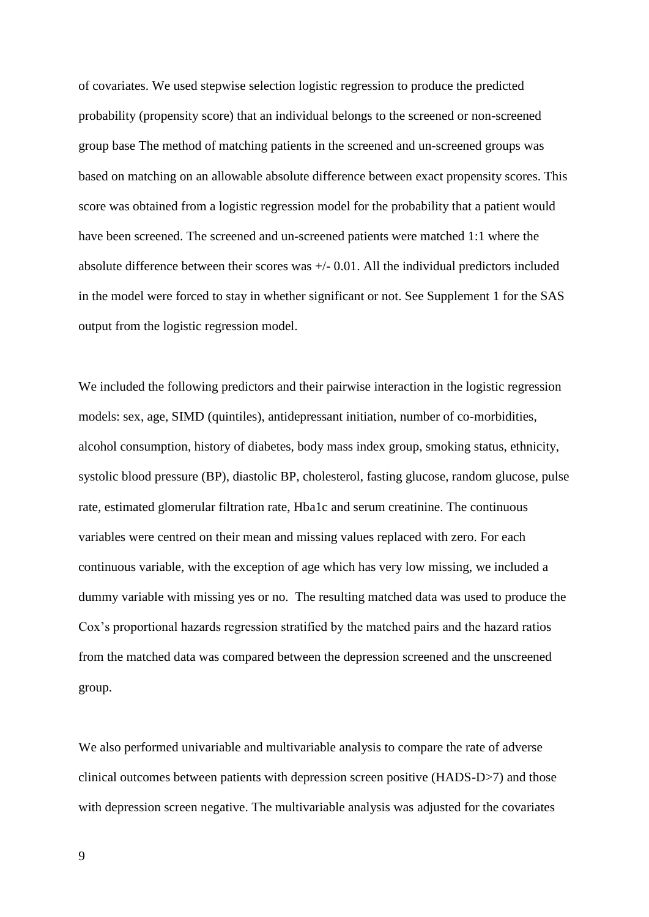of covariates. We used stepwise selection logistic regression to produce the predicted probability (propensity score) that an individual belongs to the screened or non-screened group base The method of matching patients in the screened and un-screened groups was based on matching on an allowable absolute difference between exact propensity scores. This score was obtained from a logistic regression model for the probability that a patient would have been screened. The screened and un-screened patients were matched 1:1 where the absolute difference between their scores was  $+/- 0.01$ . All the individual predictors included in the model were forced to stay in whether significant or not. See Supplement 1 for the SAS output from the logistic regression model.

We included the following predictors and their pairwise interaction in the logistic regression models: sex, age, SIMD (quintiles), antidepressant initiation, number of co-morbidities, alcohol consumption, history of diabetes, body mass index group, smoking status, ethnicity, systolic blood pressure (BP), diastolic BP, cholesterol, fasting glucose, random glucose, pulse rate, estimated glomerular filtration rate, Hba1c and serum creatinine. The continuous variables were centred on their mean and missing values replaced with zero. For each continuous variable, with the exception of age which has very low missing, we included a dummy variable with missing yes or no. The resulting matched data was used to produce the Cox's proportional hazards regression stratified by the matched pairs and the hazard ratios from the matched data was compared between the depression screened and the unscreened group.

We also performed univariable and multivariable analysis to compare the rate of adverse clinical outcomes between patients with depression screen positive (HADS-D>7) and those with depression screen negative. The multivariable analysis was adjusted for the covariates

9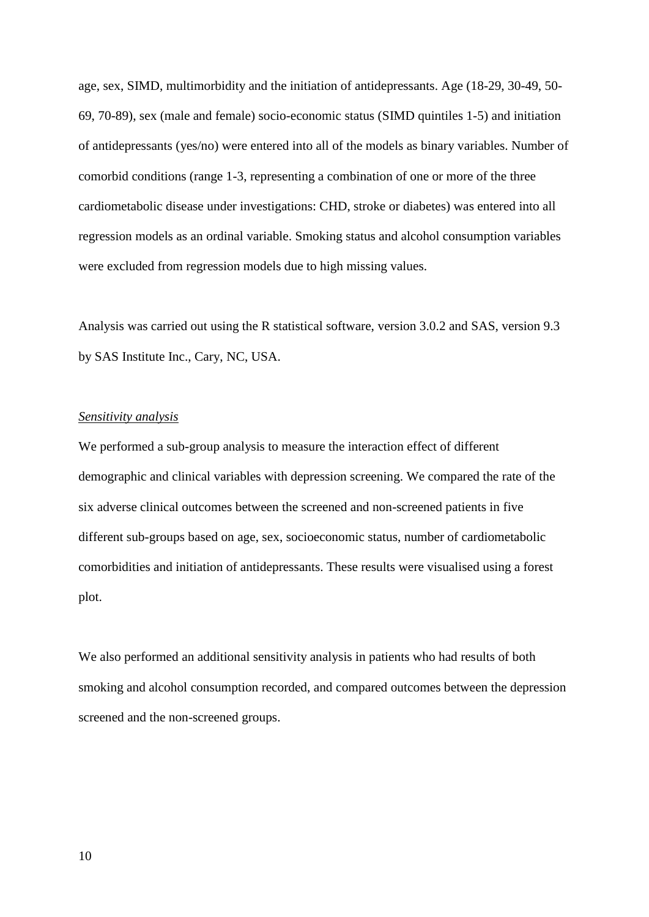age, sex, SIMD, multimorbidity and the initiation of antidepressants. Age (18-29, 30-49, 50- 69, 70-89), sex (male and female) socio-economic status (SIMD quintiles 1-5) and initiation of antidepressants (yes/no) were entered into all of the models as binary variables. Number of comorbid conditions (range 1-3, representing a combination of one or more of the three cardiometabolic disease under investigations: CHD, stroke or diabetes) was entered into all regression models as an ordinal variable. Smoking status and alcohol consumption variables were excluded from regression models due to high missing values.

Analysis was carried out using the R statistical software, version 3.0.2 and SAS, version 9.3 by SAS Institute Inc., Cary, NC, USA.

#### *Sensitivity analysis*

We performed a sub-group analysis to measure the interaction effect of different demographic and clinical variables with depression screening. We compared the rate of the six adverse clinical outcomes between the screened and non-screened patients in five different sub-groups based on age, sex, socioeconomic status, number of cardiometabolic comorbidities and initiation of antidepressants. These results were visualised using a forest plot.

We also performed an additional sensitivity analysis in patients who had results of both smoking and alcohol consumption recorded, and compared outcomes between the depression screened and the non-screened groups.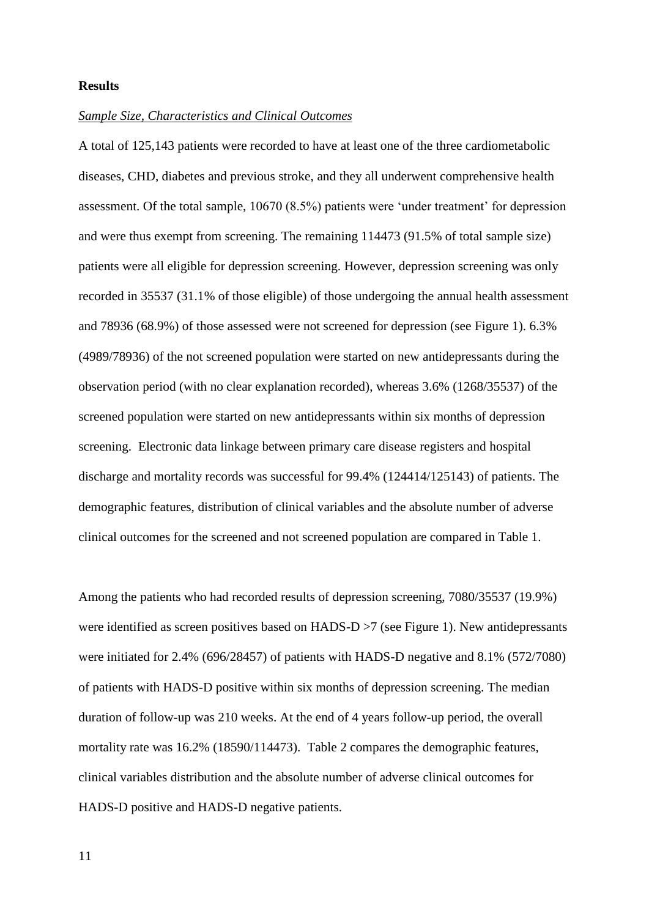## **Results**

### *Sample Size, Characteristics and Clinical Outcomes*

A total of 125,143 patients were recorded to have at least one of the three cardiometabolic diseases, CHD, diabetes and previous stroke, and they all underwent comprehensive health assessment. Of the total sample, 10670 (8.5%) patients were 'under treatment' for depression and were thus exempt from screening. The remaining 114473 (91.5% of total sample size) patients were all eligible for depression screening. However, depression screening was only recorded in 35537 (31.1% of those eligible) of those undergoing the annual health assessment and 78936 (68.9%) of those assessed were not screened for depression (see Figure 1). 6.3% (4989/78936) of the not screened population were started on new antidepressants during the observation period (with no clear explanation recorded), whereas 3.6% (1268/35537) of the screened population were started on new antidepressants within six months of depression screening. Electronic data linkage between primary care disease registers and hospital discharge and mortality records was successful for 99.4% (124414/125143) of patients. The demographic features, distribution of clinical variables and the absolute number of adverse clinical outcomes for the screened and not screened population are compared in Table 1.

Among the patients who had recorded results of depression screening, 7080/35537 (19.9%) were identified as screen positives based on HADS-D >7 (see Figure 1). New antidepressants were initiated for 2.4% (696/28457) of patients with HADS-D negative and 8.1% (572/7080) of patients with HADS-D positive within six months of depression screening. The median duration of follow-up was 210 weeks. At the end of 4 years follow-up period, the overall mortality rate was 16.2% (18590/114473). Table 2 compares the demographic features, clinical variables distribution and the absolute number of adverse clinical outcomes for HADS-D positive and HADS-D negative patients.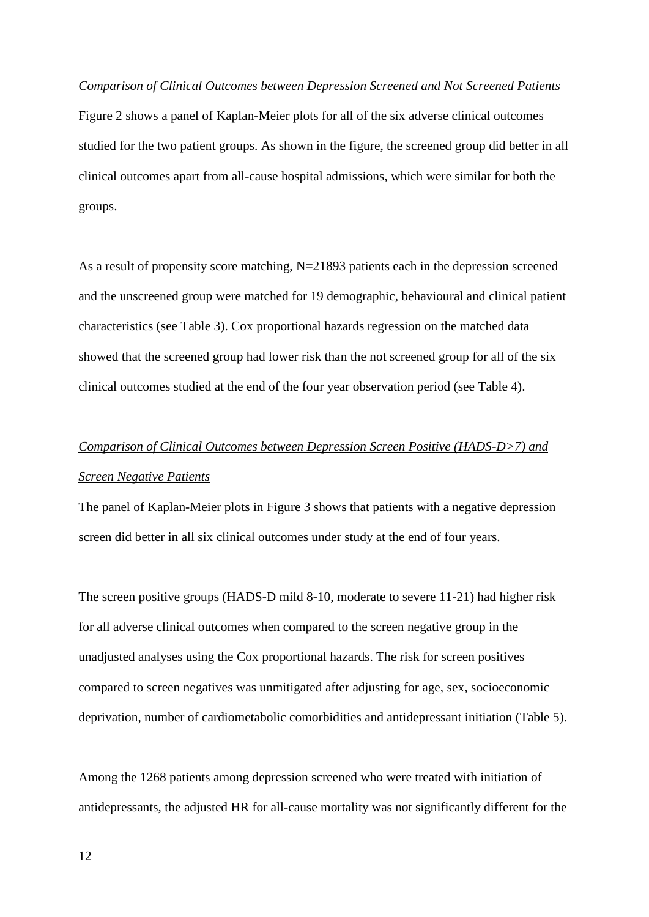#### *Comparison of Clinical Outcomes between Depression Screened and Not Screened Patients*

Figure 2 shows a panel of Kaplan-Meier plots for all of the six adverse clinical outcomes studied for the two patient groups. As shown in the figure, the screened group did better in all clinical outcomes apart from all-cause hospital admissions, which were similar for both the groups.

As a result of propensity score matching,  $N=21893$  patients each in the depression screened and the unscreened group were matched for 19 demographic, behavioural and clinical patient characteristics (see Table 3). Cox proportional hazards regression on the matched data showed that the screened group had lower risk than the not screened group for all of the six clinical outcomes studied at the end of the four year observation period (see Table 4).

# *Comparison of Clinical Outcomes between Depression Screen Positive (HADS-D>7) and Screen Negative Patients*

The panel of Kaplan-Meier plots in Figure 3 shows that patients with a negative depression screen did better in all six clinical outcomes under study at the end of four years.

The screen positive groups (HADS-D mild 8-10, moderate to severe 11-21) had higher risk for all adverse clinical outcomes when compared to the screen negative group in the unadjusted analyses using the Cox proportional hazards. The risk for screen positives compared to screen negatives was unmitigated after adjusting for age, sex, socioeconomic deprivation, number of cardiometabolic comorbidities and antidepressant initiation (Table 5).

Among the 1268 patients among depression screened who were treated with initiation of antidepressants, the adjusted HR for all-cause mortality was not significantly different for the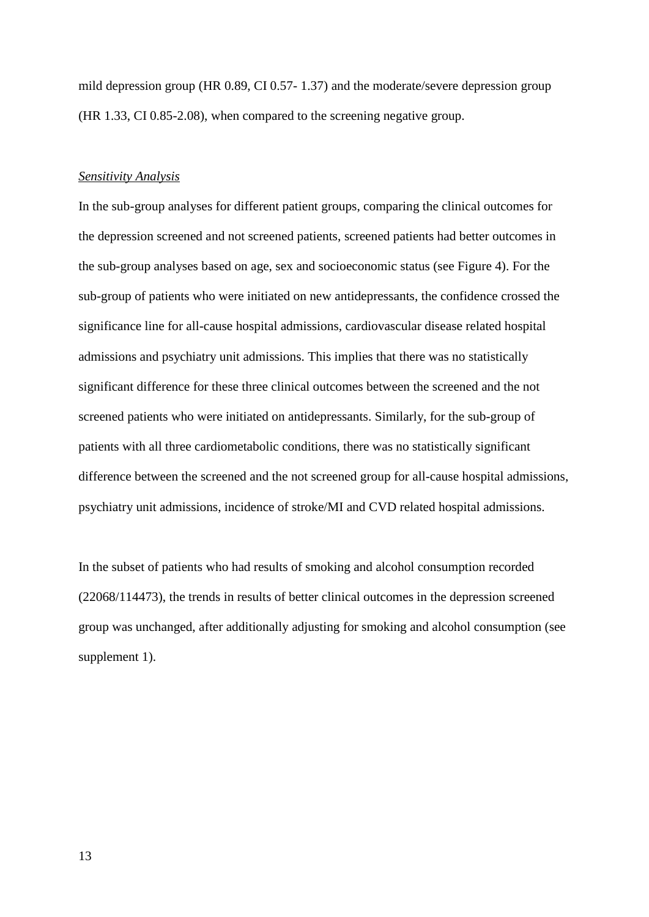mild depression group (HR 0.89, CI 0.57- 1.37) and the moderate/severe depression group (HR 1.33, CI 0.85-2.08), when compared to the screening negative group.

#### *Sensitivity Analysis*

In the sub-group analyses for different patient groups, comparing the clinical outcomes for the depression screened and not screened patients, screened patients had better outcomes in the sub-group analyses based on age, sex and socioeconomic status (see Figure 4). For the sub-group of patients who were initiated on new antidepressants, the confidence crossed the significance line for all-cause hospital admissions, cardiovascular disease related hospital admissions and psychiatry unit admissions. This implies that there was no statistically significant difference for these three clinical outcomes between the screened and the not screened patients who were initiated on antidepressants. Similarly, for the sub-group of patients with all three cardiometabolic conditions, there was no statistically significant difference between the screened and the not screened group for all-cause hospital admissions, psychiatry unit admissions, incidence of stroke/MI and CVD related hospital admissions.

In the subset of patients who had results of smoking and alcohol consumption recorded (22068/114473), the trends in results of better clinical outcomes in the depression screened group was unchanged, after additionally adjusting for smoking and alcohol consumption (see supplement 1).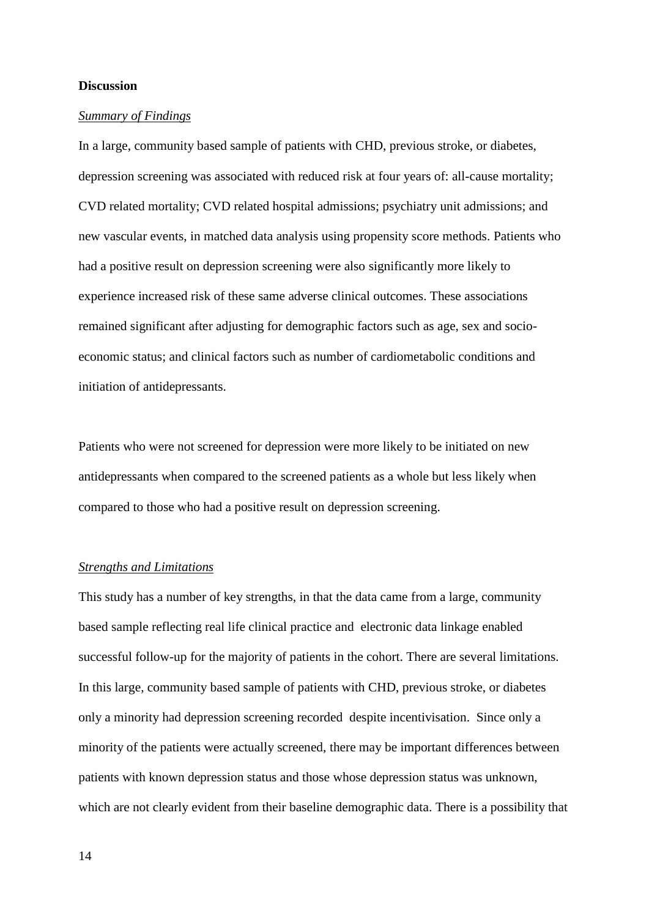### **Discussion**

## *Summary of Findings*

In a large, community based sample of patients with CHD, previous stroke, or diabetes, depression screening was associated with reduced risk at four years of: all-cause mortality; CVD related mortality; CVD related hospital admissions; psychiatry unit admissions; and new vascular events, in matched data analysis using propensity score methods. Patients who had a positive result on depression screening were also significantly more likely to experience increased risk of these same adverse clinical outcomes. These associations remained significant after adjusting for demographic factors such as age, sex and socioeconomic status; and clinical factors such as number of cardiometabolic conditions and initiation of antidepressants.

Patients who were not screened for depression were more likely to be initiated on new antidepressants when compared to the screened patients as a whole but less likely when compared to those who had a positive result on depression screening.

# *Strengths and Limitations*

This study has a number of key strengths, in that the data came from a large, community based sample reflecting real life clinical practice and electronic data linkage enabled successful follow-up for the majority of patients in the cohort. There are several limitations. In this large, community based sample of patients with CHD, previous stroke, or diabetes only a minority had depression screening recorded despite incentivisation. Since only a minority of the patients were actually screened, there may be important differences between patients with known depression status and those whose depression status was unknown, which are not clearly evident from their baseline demographic data. There is a possibility that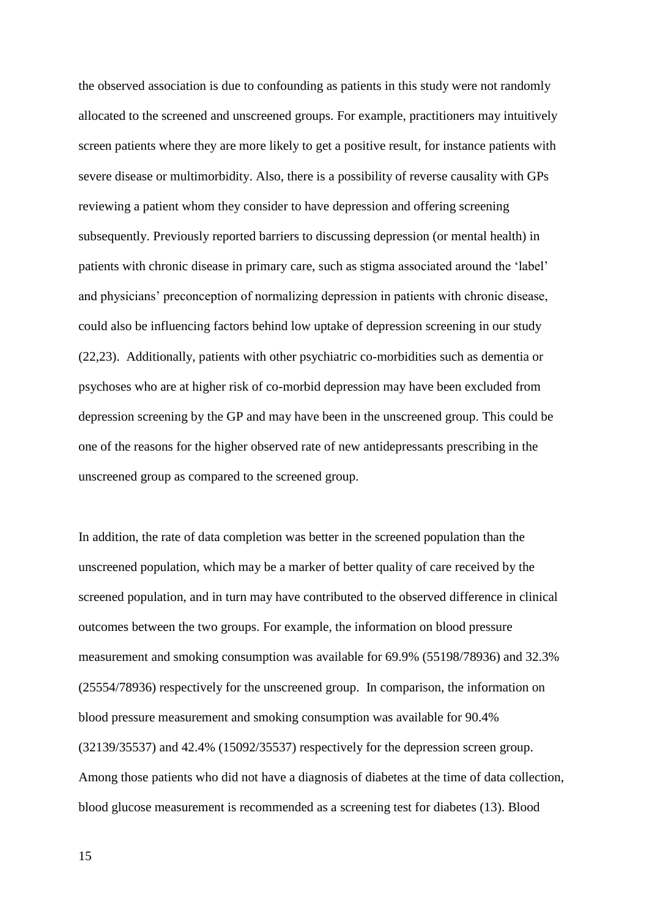the observed association is due to confounding as patients in this study were not randomly allocated to the screened and unscreened groups. For example, practitioners may intuitively screen patients where they are more likely to get a positive result, for instance patients with severe disease or multimorbidity. Also, there is a possibility of reverse causality with GPs reviewing a patient whom they consider to have depression and offering screening subsequently. Previously reported barriers to discussing depression (or mental health) in patients with chronic disease in primary care, such as stigma associated around the 'label' and physicians' preconception of normalizing depression in patients with chronic disease, could also be influencing factors behind low uptake of depression screening in our study (22,23). Additionally, patients with other psychiatric co-morbidities such as dementia or psychoses who are at higher risk of co-morbid depression may have been excluded from depression screening by the GP and may have been in the unscreened group. This could be one of the reasons for the higher observed rate of new antidepressants prescribing in the unscreened group as compared to the screened group.

In addition, the rate of data completion was better in the screened population than the unscreened population, which may be a marker of better quality of care received by the screened population, and in turn may have contributed to the observed difference in clinical outcomes between the two groups. For example, the information on blood pressure measurement and smoking consumption was available for 69.9% (55198/78936) and 32.3% (25554/78936) respectively for the unscreened group. In comparison, the information on blood pressure measurement and smoking consumption was available for 90.4% (32139/35537) and 42.4% (15092/35537) respectively for the depression screen group. Among those patients who did not have a diagnosis of diabetes at the time of data collection, blood glucose measurement is recommended as a screening test for diabetes (13). Blood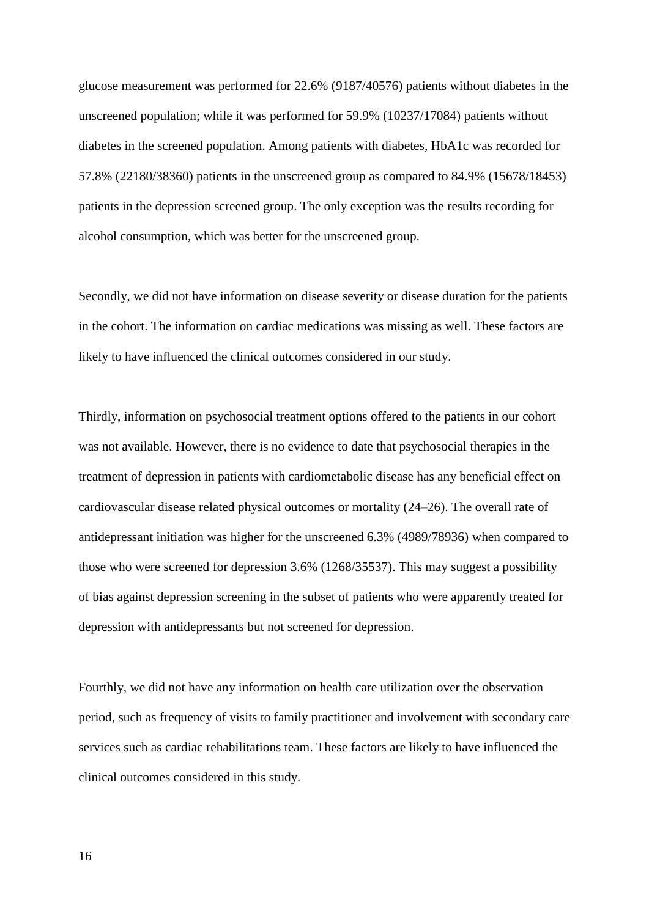glucose measurement was performed for 22.6% (9187/40576) patients without diabetes in the unscreened population; while it was performed for 59.9% (10237/17084) patients without diabetes in the screened population. Among patients with diabetes, HbA1c was recorded for 57.8% (22180/38360) patients in the unscreened group as compared to 84.9% (15678/18453) patients in the depression screened group. The only exception was the results recording for alcohol consumption, which was better for the unscreened group.

Secondly, we did not have information on disease severity or disease duration for the patients in the cohort. The information on cardiac medications was missing as well. These factors are likely to have influenced the clinical outcomes considered in our study.

Thirdly, information on psychosocial treatment options offered to the patients in our cohort was not available. However, there is no evidence to date that psychosocial therapies in the treatment of depression in patients with cardiometabolic disease has any beneficial effect on cardiovascular disease related physical outcomes or mortality (24–26). The overall rate of antidepressant initiation was higher for the unscreened 6.3% (4989/78936) when compared to those who were screened for depression 3.6% (1268/35537). This may suggest a possibility of bias against depression screening in the subset of patients who were apparently treated for depression with antidepressants but not screened for depression.

Fourthly, we did not have any information on health care utilization over the observation period, such as frequency of visits to family practitioner and involvement with secondary care services such as cardiac rehabilitations team. These factors are likely to have influenced the clinical outcomes considered in this study.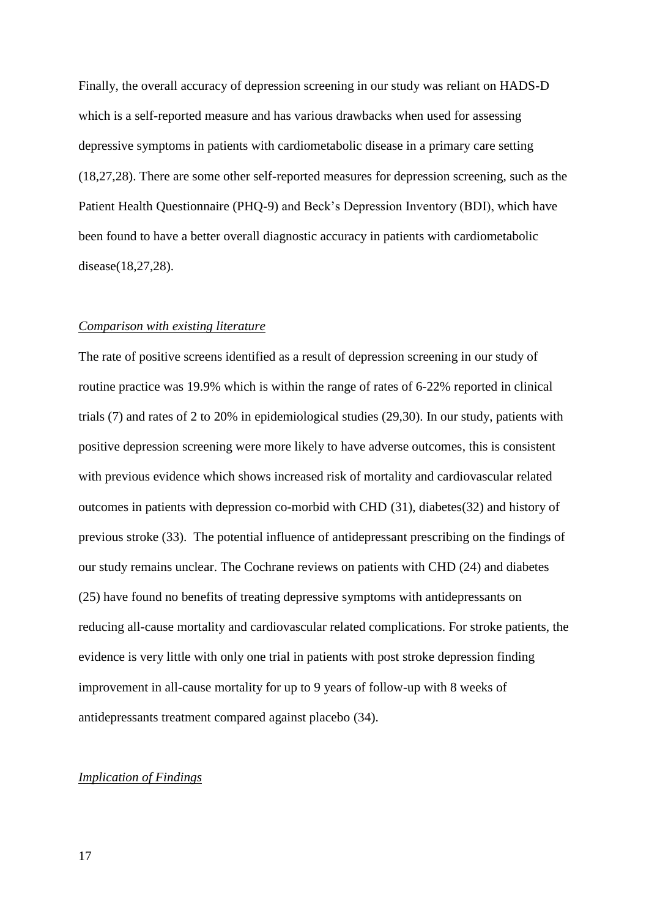Finally, the overall accuracy of depression screening in our study was reliant on HADS-D which is a self-reported measure and has various drawbacks when used for assessing depressive symptoms in patients with cardiometabolic disease in a primary care setting (18,27,28). There are some other self-reported measures for depression screening, such as the Patient Health Questionnaire (PHQ-9) and Beck's Depression Inventory (BDI), which have been found to have a better overall diagnostic accuracy in patients with cardiometabolic disease(18,27,28).

## *Comparison with existing literature*

The rate of positive screens identified as a result of depression screening in our study of routine practice was 19.9% which is within the range of rates of 6-22% reported in clinical trials (7) and rates of 2 to 20% in epidemiological studies (29,30). In our study, patients with positive depression screening were more likely to have adverse outcomes, this is consistent with previous evidence which shows increased risk of mortality and cardiovascular related outcomes in patients with depression co-morbid with CHD (31), diabetes(32) and history of previous stroke (33). The potential influence of antidepressant prescribing on the findings of our study remains unclear. The Cochrane reviews on patients with CHD (24) and diabetes (25) have found no benefits of treating depressive symptoms with antidepressants on reducing all-cause mortality and cardiovascular related complications. For stroke patients, the evidence is very little with only one trial in patients with post stroke depression finding improvement in all-cause mortality for up to 9 years of follow-up with 8 weeks of antidepressants treatment compared against placebo (34).

## *Implication of Findings*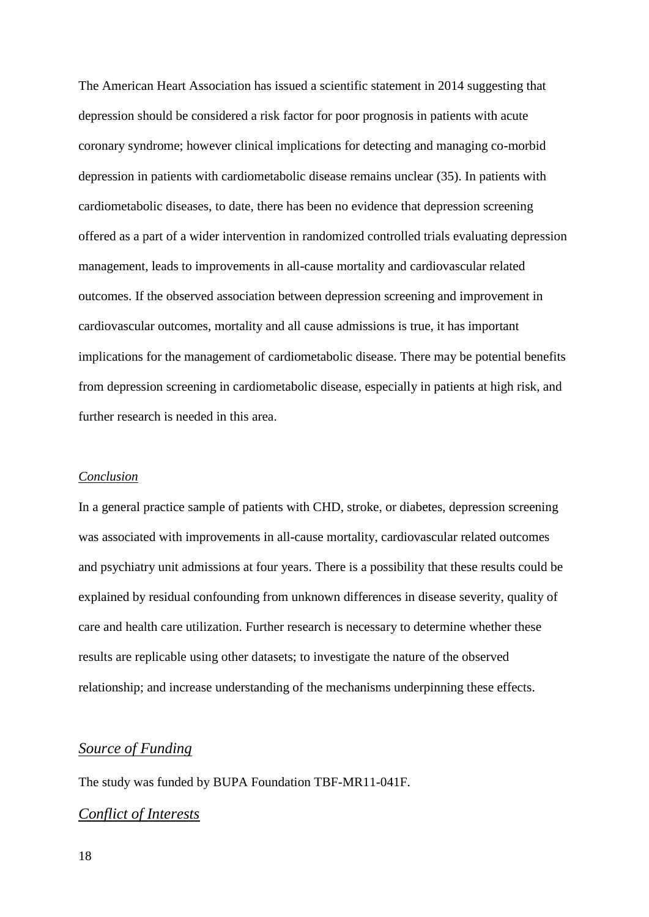The American Heart Association has issued a scientific statement in 2014 suggesting that depression should be considered a risk factor for poor prognosis in patients with acute coronary syndrome; however clinical implications for detecting and managing co-morbid depression in patients with cardiometabolic disease remains unclear (35). In patients with cardiometabolic diseases, to date, there has been no evidence that depression screening offered as a part of a wider intervention in randomized controlled trials evaluating depression management, leads to improvements in all-cause mortality and cardiovascular related outcomes. If the observed association between depression screening and improvement in cardiovascular outcomes, mortality and all cause admissions is true, it has important implications for the management of cardiometabolic disease. There may be potential benefits from depression screening in cardiometabolic disease, especially in patients at high risk, and further research is needed in this area.

#### *Conclusion*

In a general practice sample of patients with CHD, stroke, or diabetes, depression screening was associated with improvements in all-cause mortality, cardiovascular related outcomes and psychiatry unit admissions at four years. There is a possibility that these results could be explained by residual confounding from unknown differences in disease severity, quality of care and health care utilization. Further research is necessary to determine whether these results are replicable using other datasets; to investigate the nature of the observed relationship; and increase understanding of the mechanisms underpinning these effects.

# *Source of Funding*

The study was funded by BUPA Foundation TBF-MR11-041F.

# *Conflict of Interests*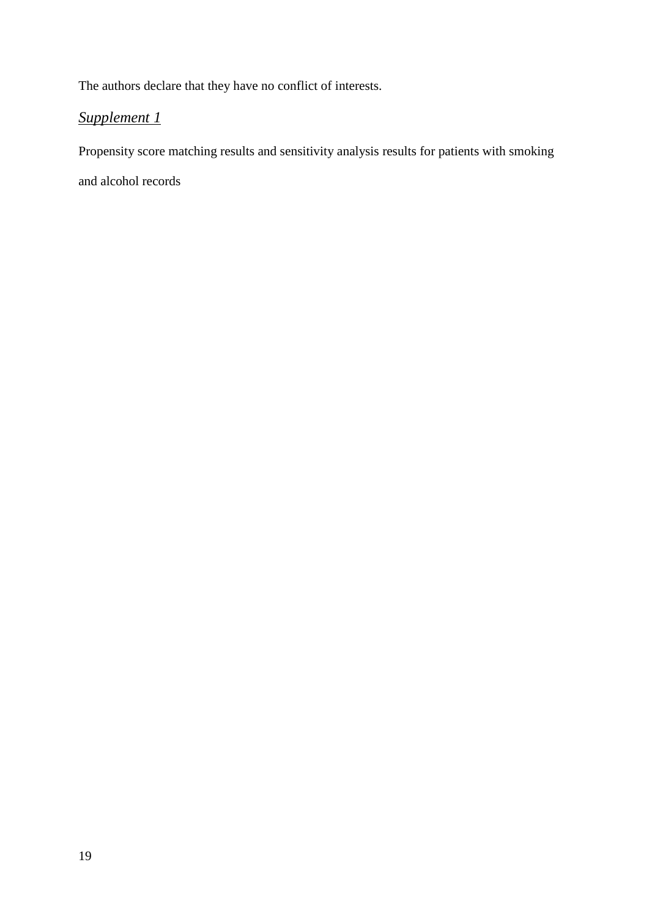The authors declare that they have no conflict of interests.

# *Supplement 1*

Propensity score matching results and sensitivity analysis results for patients with smoking

and alcohol records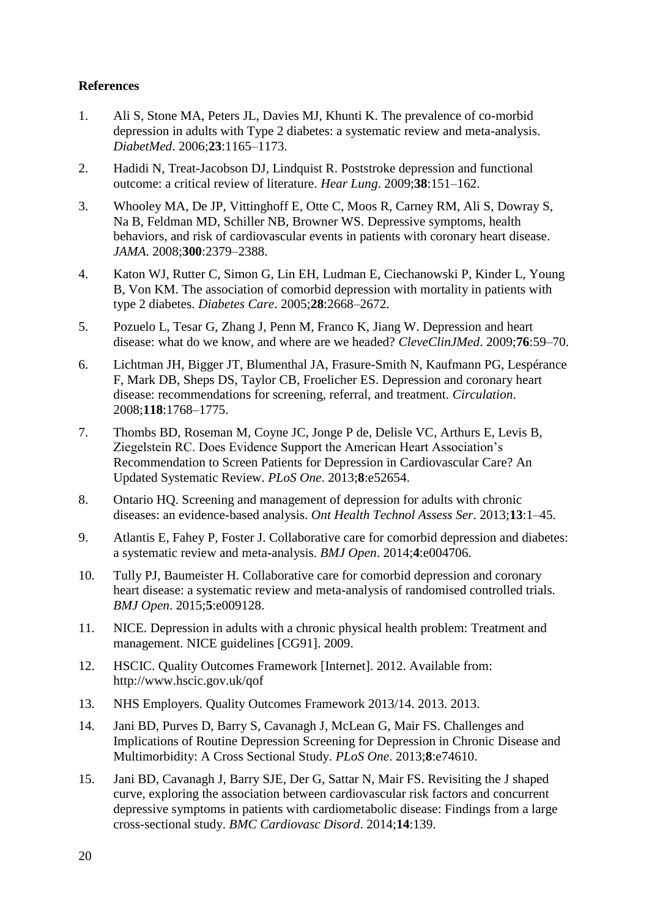# **References**

- 1. Ali S, Stone MA, Peters JL, Davies MJ, Khunti K. The prevalence of co-morbid depression in adults with Type 2 diabetes: a systematic review and meta-analysis. *DiabetMed*. 2006;**23**:1165–1173.
- 2. Hadidi N, Treat-Jacobson DJ, Lindquist R. Poststroke depression and functional outcome: a critical review of literature. *Hear Lung*. 2009;**38**:151–162.
- 3. Whooley MA, De JP, Vittinghoff E, Otte C, Moos R, Carney RM, Ali S, Dowray S, Na B, Feldman MD, Schiller NB, Browner WS. Depressive symptoms, health behaviors, and risk of cardiovascular events in patients with coronary heart disease. *JAMA*. 2008;**300**:2379–2388.
- 4. Katon WJ, Rutter C, Simon G, Lin EH, Ludman E, Ciechanowski P, Kinder L, Young B, Von KM. The association of comorbid depression with mortality in patients with type 2 diabetes. *Diabetes Care*. 2005;**28**:2668–2672.
- 5. Pozuelo L, Tesar G, Zhang J, Penn M, Franco K, Jiang W. Depression and heart disease: what do we know, and where are we headed? *CleveClinJMed*. 2009;**76**:59–70.
- 6. Lichtman JH, Bigger JT, Blumenthal JA, Frasure-Smith N, Kaufmann PG, Lespérance F, Mark DB, Sheps DS, Taylor CB, Froelicher ES. Depression and coronary heart disease: recommendations for screening, referral, and treatment. *Circulation*. 2008;**118**:1768–1775.
- 7. Thombs BD, Roseman M, Coyne JC, Jonge P de, Delisle VC, Arthurs E, Levis B, Ziegelstein RC. Does Evidence Support the American Heart Association's Recommendation to Screen Patients for Depression in Cardiovascular Care? An Updated Systematic Review. *PLoS One*. 2013;**8**:e52654.
- 8. Ontario HQ. Screening and management of depression for adults with chronic diseases: an evidence-based analysis. *Ont Health Technol Assess Ser*. 2013;**13**:1–45.
- 9. Atlantis E, Fahey P, Foster J. Collaborative care for comorbid depression and diabetes: a systematic review and meta-analysis. *BMJ Open*. 2014;**4**:e004706.
- 10. Tully PJ, Baumeister H. Collaborative care for comorbid depression and coronary heart disease: a systematic review and meta-analysis of randomised controlled trials. *BMJ Open*. 2015;**5**:e009128.
- 11. NICE. Depression in adults with a chronic physical health problem: Treatment and management. NICE guidelines [CG91]. 2009.
- 12. HSCIC. Quality Outcomes Framework [Internet]. 2012. Available from: http://www.hscic.gov.uk/qof
- 13. NHS Employers. Quality Outcomes Framework 2013/14. 2013. 2013.
- 14. Jani BD, Purves D, Barry S, Cavanagh J, McLean G, Mair FS. Challenges and Implications of Routine Depression Screening for Depression in Chronic Disease and Multimorbidity: A Cross Sectional Study. *PLoS One*. 2013;**8**:e74610.
- 15. Jani BD, Cavanagh J, Barry SJE, Der G, Sattar N, Mair FS. Revisiting the J shaped curve, exploring the association between cardiovascular risk factors and concurrent depressive symptoms in patients with cardiometabolic disease: Findings from a large cross-sectional study. *BMC Cardiovasc Disord*. 2014;**14**:139.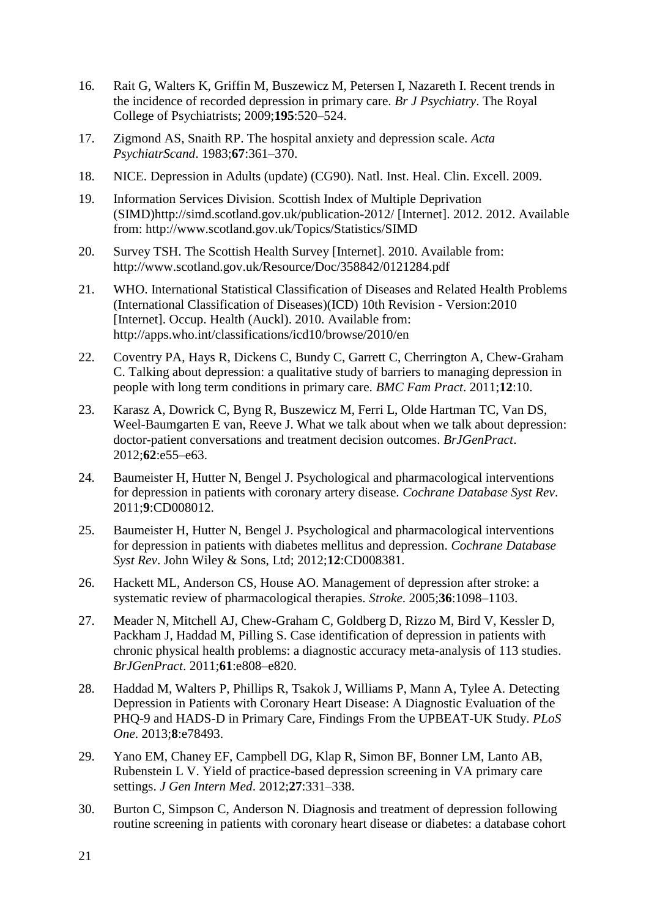- 16. Rait G, Walters K, Griffin M, Buszewicz M, Petersen I, Nazareth I. Recent trends in the incidence of recorded depression in primary care. *Br J Psychiatry*. The Royal College of Psychiatrists; 2009;**195**:520–524.
- 17. Zigmond AS, Snaith RP. The hospital anxiety and depression scale. *Acta PsychiatrScand*. 1983;**67**:361–370.
- 18. NICE. Depression in Adults (update) (CG90). Natl. Inst. Heal. Clin. Excell. 2009.
- 19. Information Services Division. Scottish Index of Multiple Deprivation (SIMD)http://simd.scotland.gov.uk/publication-2012/ [Internet]. 2012. 2012. Available from: http://www.scotland.gov.uk/Topics/Statistics/SIMD
- 20. Survey TSH. The Scottish Health Survey [Internet]. 2010. Available from: http://www.scotland.gov.uk/Resource/Doc/358842/0121284.pdf
- 21. WHO. International Statistical Classification of Diseases and Related Health Problems (International Classification of Diseases)(ICD) 10th Revision - Version:2010 [Internet]. Occup. Health (Auckl). 2010. Available from: http://apps.who.int/classifications/icd10/browse/2010/en
- 22. Coventry PA, Hays R, Dickens C, Bundy C, Garrett C, Cherrington A, Chew-Graham C. Talking about depression: a qualitative study of barriers to managing depression in people with long term conditions in primary care. *BMC Fam Pract*. 2011;**12**:10.
- 23. Karasz A, Dowrick C, Byng R, Buszewicz M, Ferri L, Olde Hartman TC, Van DS, Weel-Baumgarten E van, Reeve J. What we talk about when we talk about depression: doctor-patient conversations and treatment decision outcomes. *BrJGenPract*. 2012;**62**:e55–e63.
- 24. Baumeister H, Hutter N, Bengel J. Psychological and pharmacological interventions for depression in patients with coronary artery disease. *Cochrane Database Syst Rev*. 2011;**9**:CD008012.
- 25. Baumeister H, Hutter N, Bengel J. Psychological and pharmacological interventions for depression in patients with diabetes mellitus and depression. *Cochrane Database Syst Rev*. John Wiley & Sons, Ltd; 2012;**12**:CD008381.
- 26. Hackett ML, Anderson CS, House AO. Management of depression after stroke: a systematic review of pharmacological therapies. *Stroke*. 2005;**36**:1098–1103.
- 27. Meader N, Mitchell AJ, Chew-Graham C, Goldberg D, Rizzo M, Bird V, Kessler D, Packham J, Haddad M, Pilling S. Case identification of depression in patients with chronic physical health problems: a diagnostic accuracy meta-analysis of 113 studies. *BrJGenPract*. 2011;**61**:e808–e820.
- 28. Haddad M, Walters P, Phillips R, Tsakok J, Williams P, Mann A, Tylee A. Detecting Depression in Patients with Coronary Heart Disease: A Diagnostic Evaluation of the PHQ-9 and HADS-D in Primary Care, Findings From the UPBEAT-UK Study. *PLoS One*. 2013;**8**:e78493.
- 29. Yano EM, Chaney EF, Campbell DG, Klap R, Simon BF, Bonner LM, Lanto AB, Rubenstein L V. Yield of practice-based depression screening in VA primary care settings. *J Gen Intern Med*. 2012;**27**:331–338.
- 30. Burton C, Simpson C, Anderson N. Diagnosis and treatment of depression following routine screening in patients with coronary heart disease or diabetes: a database cohort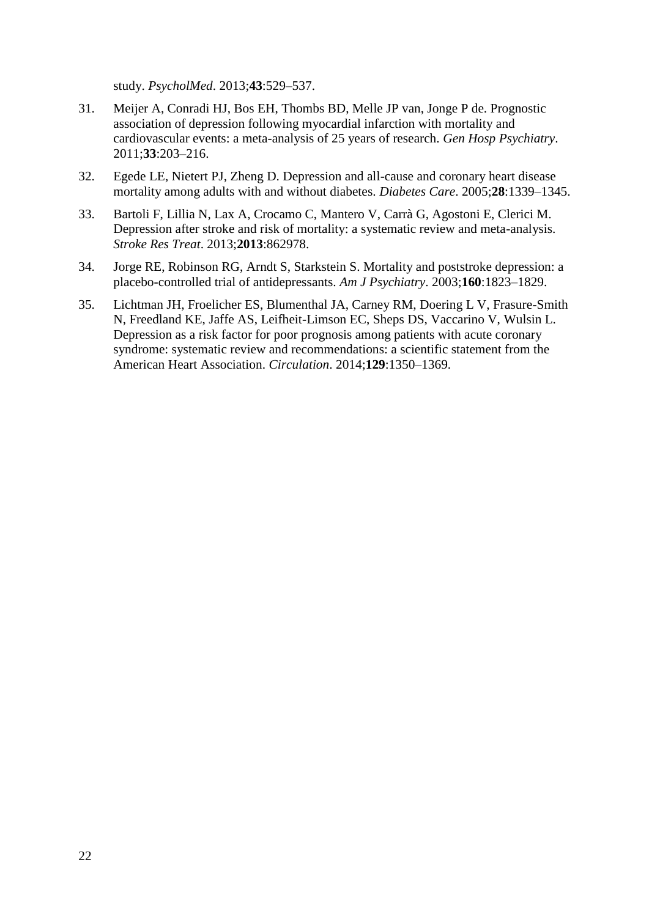study. *PsycholMed*. 2013;**43**:529–537.

- 31. Meijer A, Conradi HJ, Bos EH, Thombs BD, Melle JP van, Jonge P de. Prognostic association of depression following myocardial infarction with mortality and cardiovascular events: a meta-analysis of 25 years of research. *Gen Hosp Psychiatry*. 2011;**33**:203–216.
- 32. Egede LE, Nietert PJ, Zheng D. Depression and all-cause and coronary heart disease mortality among adults with and without diabetes. *Diabetes Care*. 2005;**28**:1339–1345.
- 33. Bartoli F, Lillia N, Lax A, Crocamo C, Mantero V, Carrà G, Agostoni E, Clerici M. Depression after stroke and risk of mortality: a systematic review and meta-analysis. *Stroke Res Treat*. 2013;**2013**:862978.
- 34. Jorge RE, Robinson RG, Arndt S, Starkstein S. Mortality and poststroke depression: a placebo-controlled trial of antidepressants. *Am J Psychiatry*. 2003;**160**:1823–1829.
- 35. Lichtman JH, Froelicher ES, Blumenthal JA, Carney RM, Doering L V, Frasure-Smith N, Freedland KE, Jaffe AS, Leifheit-Limson EC, Sheps DS, Vaccarino V, Wulsin L. Depression as a risk factor for poor prognosis among patients with acute coronary syndrome: systematic review and recommendations: a scientific statement from the American Heart Association. *Circulation*. 2014;**129**:1350–1369.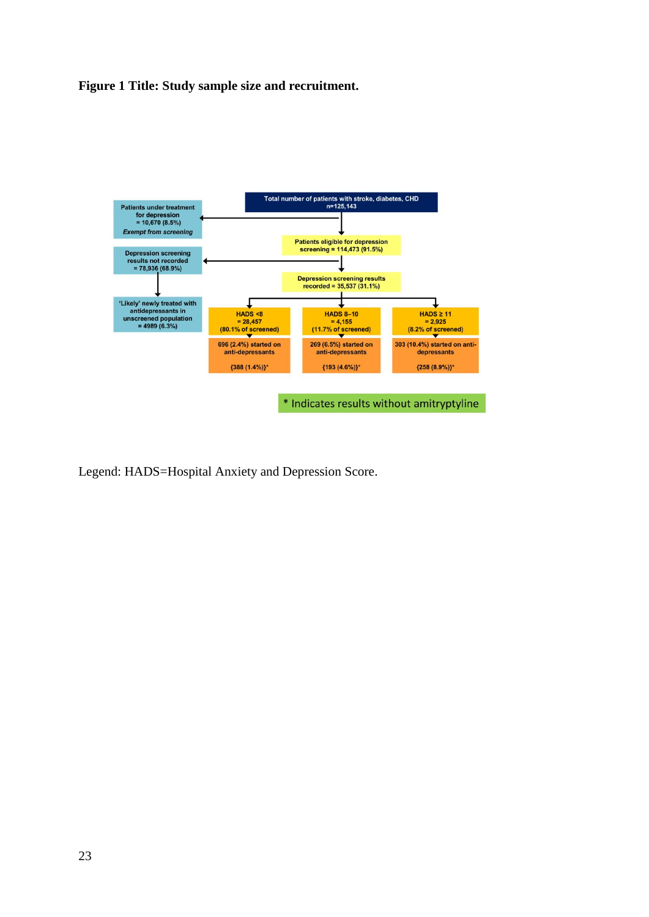**Figure 1 Title: Study sample size and recruitment.** 



Legend: HADS=Hospital Anxiety and Depression Score.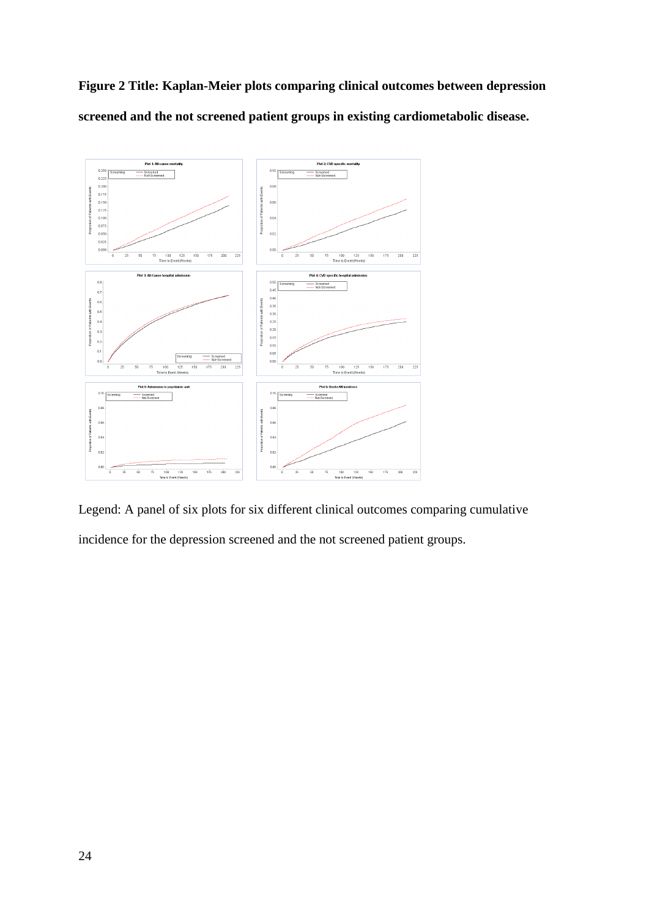**Figure 2 Title: Kaplan-Meier plots comparing clinical outcomes between depression screened and the not screened patient groups in existing cardiometabolic disease.** 



Legend: A panel of six plots for six different clinical outcomes comparing cumulative incidence for the depression screened and the not screened patient groups.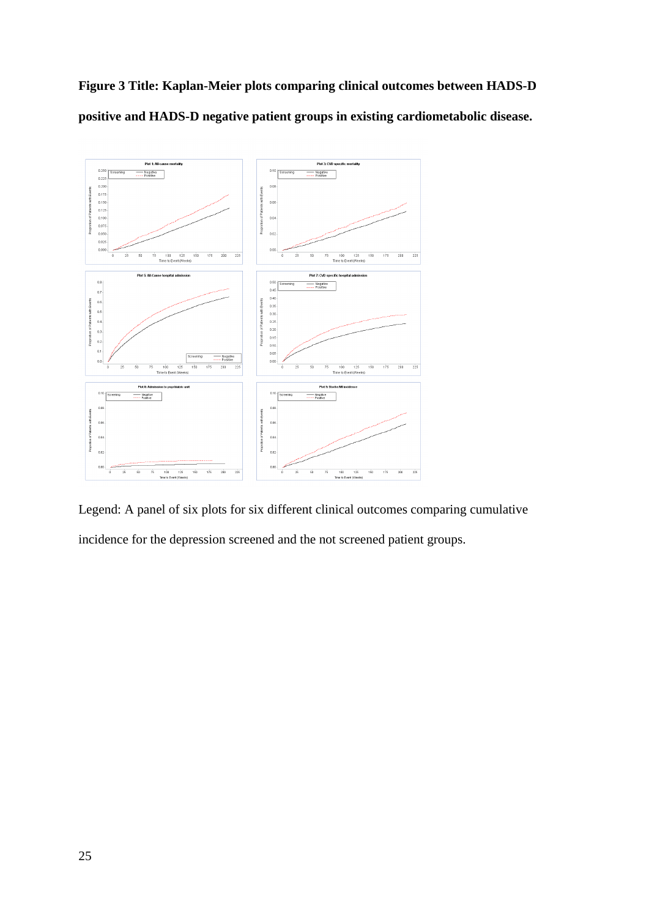



Legend: A panel of six plots for six different clinical outcomes comparing cumulative incidence for the depression screened and the not screened patient groups.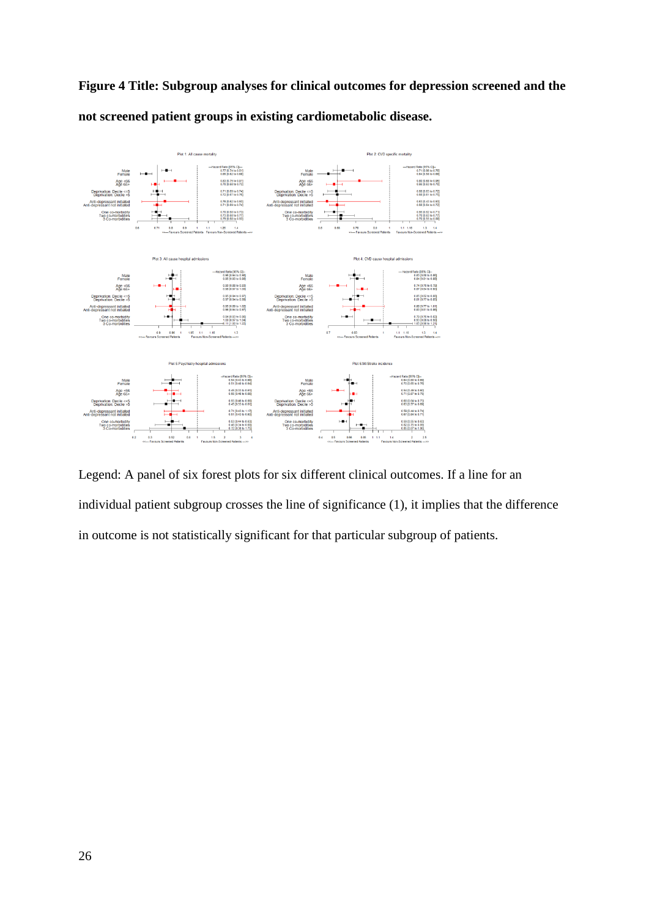**Figure 4 Title: Subgroup analyses for clinical outcomes for depression screened and the not screened patient groups in existing cardiometabolic disease.** 



Legend: A panel of six forest plots for six different clinical outcomes. If a line for an individual patient subgroup crosses the line of significance (1), it implies that the difference in outcome is not statistically significant for that particular subgroup of patients.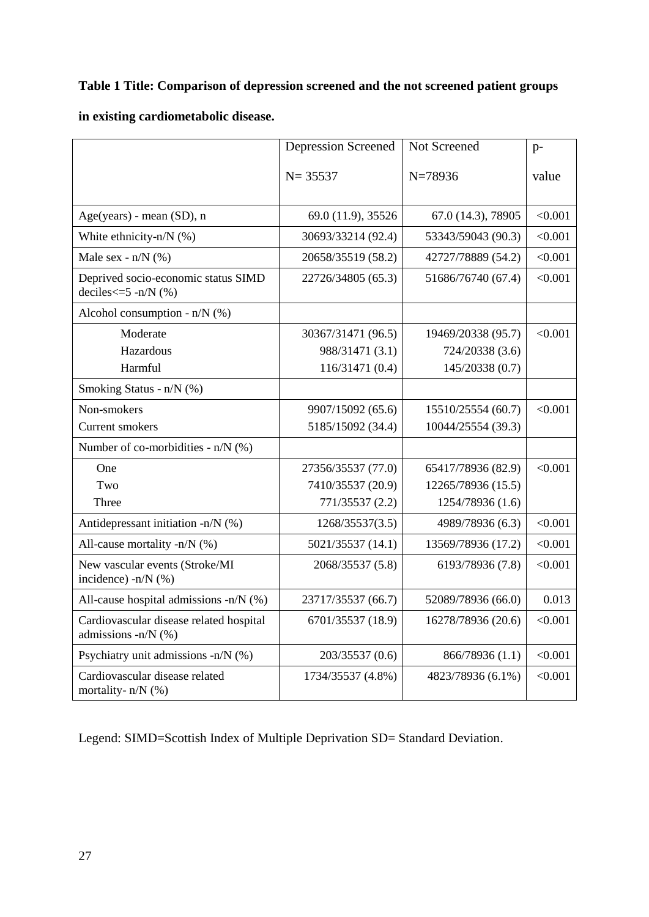# **Table 1 Title: Comparison of depression screened and the not screened patient groups**

# **in existing cardiometabolic disease.**

|                                                                | <b>Depression Screened</b> | Not Screened       | $p-$    |
|----------------------------------------------------------------|----------------------------|--------------------|---------|
|                                                                | $N = 35537$                | $N=78936$          | value   |
|                                                                |                            |                    |         |
| Age(years) - mean (SD), n                                      | 69.0 (11.9), 35526         | 67.0 (14.3), 78905 | < 0.001 |
| White ethnicity-n/ $N$ (%)                                     | 30693/33214 (92.4)         | 53343/59043 (90.3) | < 0.001 |
| Male sex - $n/N$ (%)                                           | 20658/35519 (58.2)         | 42727/78889 (54.2) | < 0.001 |
| Deprived socio-economic status SIMD<br>deciles $\leq$ -n/N (%) | 22726/34805 (65.3)         | 51686/76740 (67.4) | < 0.001 |
| Alcohol consumption - $n/N$ (%)                                |                            |                    |         |
| Moderate                                                       | 30367/31471 (96.5)         | 19469/20338 (95.7) | < 0.001 |
| Hazardous                                                      | 988/31471 (3.1)            | 724/20338 (3.6)    |         |
| Harmful                                                        | 116/31471 (0.4)            | 145/20338 (0.7)    |         |
| Smoking Status - n/N (%)                                       |                            |                    |         |
| Non-smokers                                                    | 9907/15092 (65.6)          | 15510/25554 (60.7) | < 0.001 |
| <b>Current smokers</b>                                         | 5185/15092 (34.4)          | 10044/25554 (39.3) |         |
| Number of co-morbidities - $n/N$ (%)                           |                            |                    |         |
| One                                                            | 27356/35537 (77.0)         | 65417/78936 (82.9) | < 0.001 |
| Two                                                            | 7410/35537 (20.9)          | 12265/78936 (15.5) |         |
| Three                                                          | 771/35537 (2.2)            | 1254/78936 (1.6)   |         |
| Antidepressant initiation -n/N (%)                             | 1268/35537(3.5)            | 4989/78936 (6.3)   | < 0.001 |
| All-cause mortality -n/N $(\%)$                                | 5021/35537 (14.1)          | 13569/78936 (17.2) | < 0.001 |
| New vascular events (Stroke/MI<br>incidence) -n/N (%)          | 2068/35537 (5.8)           | 6193/78936 (7.8)   | < 0.001 |
| All-cause hospital admissions -n/N (%)                         | 23717/35537 (66.7)         | 52089/78936 (66.0) | 0.013   |
| Cardiovascular disease related hospital<br>admissions -n/N (%) | 6701/35537 (18.9)          | 16278/78936 (20.6) | < 0.001 |
| Psychiatry unit admissions -n/N (%)                            | 203/35537 (0.6)            | 866/78936 (1.1)    | < 0.001 |
| Cardiovascular disease related<br>mortality- $n/N$ (%)         | 1734/35537 (4.8%)          | 4823/78936 (6.1%)  | < 0.001 |

Legend: SIMD=Scottish Index of Multiple Deprivation SD= Standard Deviation.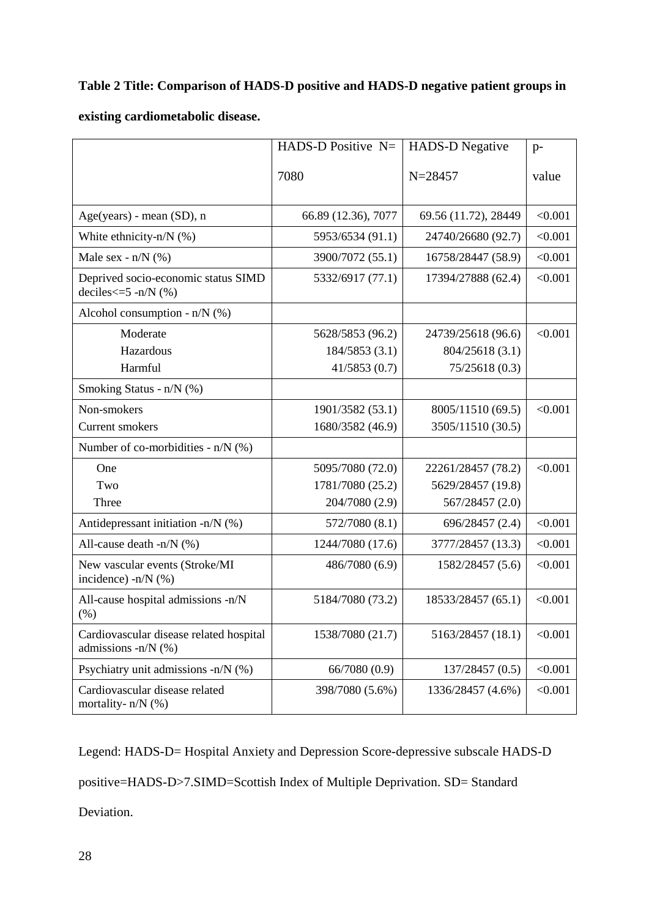# **Table 2 Title: Comparison of HADS-D positive and HADS-D negative patient groups in**

# **existing cardiometabolic disease.**

|                                                                         | HADS-D Positive $N=$ | <b>HADS-D Negative</b> | $p-$    |
|-------------------------------------------------------------------------|----------------------|------------------------|---------|
|                                                                         | 7080                 | $N = 28457$            | value   |
| $Age(years)$ - mean $(SD)$ , n                                          | 66.89 (12.36), 7077  | 69.56 (11.72), 28449   | < 0.001 |
| White ethnicity-n/ $N$ (%)                                              | 5953/6534 (91.1)     | 24740/26680 (92.7)     | < 0.001 |
| Male sex - $n/N$ (%)                                                    | 3900/7072 (55.1)     | 16758/28447 (58.9)     | < 0.001 |
| Deprived socio-economic status SIMD<br>deciles $\leq$ =5 -n/N $($ % $)$ | 5332/6917 (77.1)     | 17394/27888 (62.4)     | < 0.001 |
| Alcohol consumption - $n/N$ (%)                                         |                      |                        |         |
| Moderate                                                                | 5628/5853 (96.2)     | 24739/25618 (96.6)     | < 0.001 |
| Hazardous                                                               | 184/5853 (3.1)       | 804/25618 (3.1)        |         |
| Harmful                                                                 | 41/5853(0.7)         | 75/25618(0.3)          |         |
| Smoking Status - $n/N$ (%)                                              |                      |                        |         |
| Non-smokers                                                             | 1901/3582 (53.1)     | 8005/11510 (69.5)      | < 0.001 |
| Current smokers                                                         | 1680/3582 (46.9)     | 3505/11510 (30.5)      |         |
| Number of co-morbidities - $n/N$ (%)                                    |                      |                        |         |
| One                                                                     | 5095/7080 (72.0)     | 22261/28457 (78.2)     | < 0.001 |
| Two                                                                     | 1781/7080 (25.2)     | 5629/28457 (19.8)      |         |
| Three                                                                   | 204/7080 (2.9)       | 567/28457 (2.0)        |         |
| Antidepressant initiation -n/N (%)                                      | 572/7080 (8.1)       | 696/28457 (2.4)        | < 0.001 |
| All-cause death -n/N (%)                                                | 1244/7080 (17.6)     | 3777/28457 (13.3)      | < 0.001 |
| New vascular events (Stroke/MI<br>incidence) $-n/N$ (%)                 | 486/7080 (6.9)       | 1582/28457 (5.6)       | < 0.001 |
| All-cause hospital admissions -n/N<br>(%)                               | 5184/7080 (73.2)     | 18533/28457 (65.1)     | < 0.001 |
| Cardiovascular disease related hospital<br>admissions -n/N $(%)$        | 1538/7080 (21.7)     | 5163/28457 (18.1)      | < 0.001 |
| Psychiatry unit admissions -n/N (%)                                     | 66/7080 (0.9)        | 137/28457 (0.5)        | < 0.001 |
| Cardiovascular disease related<br>mortality- $n/N$ (%)                  | 398/7080 (5.6%)      | 1336/28457 (4.6%)      | < 0.001 |

Legend: HADS-D= Hospital Anxiety and Depression Score-depressive subscale HADS-D positive=HADS-D>7.SIMD=Scottish Index of Multiple Deprivation. SD= Standard Deviation.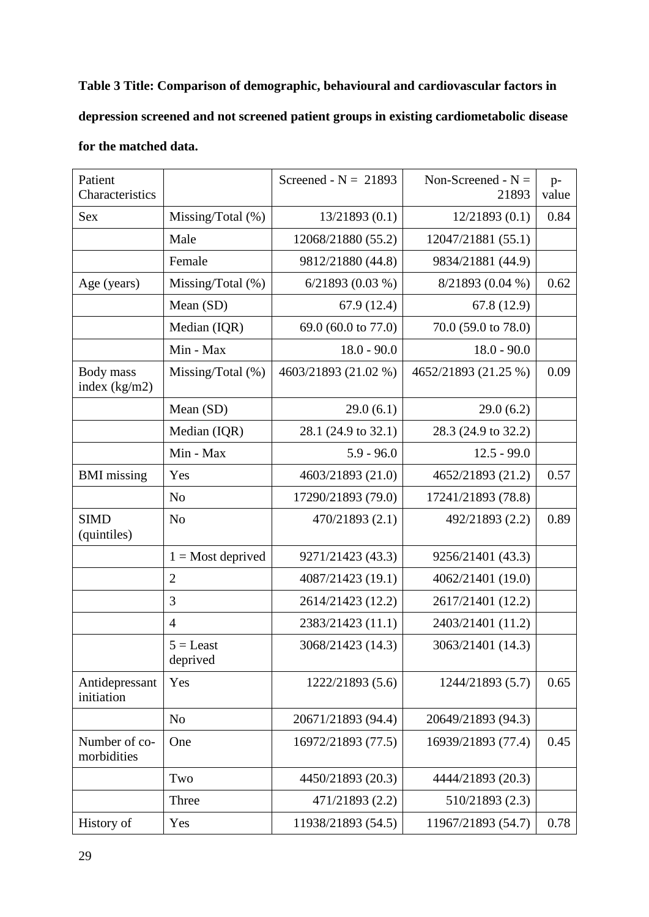**Table 3 Title: Comparison of demographic, behavioural and cardiovascular factors in depression screened and not screened patient groups in existing cardiometabolic disease for the matched data.** 

| Patient<br>Characteristics   |                         | Screened - $N = 21893$ | Non-Screened - $N =$<br>21893 | $p-$<br>value |
|------------------------------|-------------------------|------------------------|-------------------------------|---------------|
| <b>Sex</b>                   | Missing/Total (%)       | 13/21893(0.1)          | 12/21893(0.1)                 | 0.84          |
|                              | Male                    | 12068/21880 (55.2)     | 12047/21881 (55.1)            |               |
|                              | Female                  | 9812/21880 (44.8)      | 9834/21881 (44.9)             |               |
| Age (years)                  | Missing/Total (%)       | $6/21893(0.03\%)$      | 8/21893 (0.04 %)              | 0.62          |
|                              | Mean (SD)               | 67.9(12.4)             | 67.8(12.9)                    |               |
|                              | Median (IQR)            | 69.0 (60.0 to 77.0)    | 70.0 (59.0 to 78.0)           |               |
|                              | Min - Max               | $18.0 - 90.0$          | $18.0 - 90.0$                 |               |
| Body mass<br>index $(kg/m2)$ | Missing/Total $(\%)$    | 4603/21893 (21.02 %)   | 4652/21893 (21.25 %)          | 0.09          |
|                              | Mean (SD)               | 29.0(6.1)              | 29.0(6.2)                     |               |
|                              | Median (IQR)            | 28.1 (24.9 to 32.1)    | 28.3 (24.9 to 32.2)           |               |
|                              | Min - Max               | $5.9 - 96.0$           | $12.5 - 99.0$                 |               |
| <b>BMI</b> missing           | Yes                     | 4603/21893 (21.0)      | 4652/21893 (21.2)             | 0.57          |
|                              | N <sub>o</sub>          | 17290/21893 (79.0)     | 17241/21893 (78.8)            |               |
| <b>SIMD</b><br>(quintiles)   | N <sub>o</sub>          | 470/21893 (2.1)        | 492/21893 (2.2)               | 0.89          |
|                              | $1 =$ Most deprived     | 9271/21423 (43.3)      | 9256/21401 (43.3)             |               |
|                              | $\overline{2}$          | 4087/21423 (19.1)      | 4062/21401 (19.0)             |               |
|                              | 3                       | 2614/21423 (12.2)      | 2617/21401 (12.2)             |               |
|                              | $\overline{4}$          | 2383/21423 (11.1)      | 2403/21401 (11.2)             |               |
|                              | $5 =$ Least<br>deprived | 3068/21423 (14.3)      | 3063/21401 (14.3)             |               |
| Antidepressant<br>initiation | Yes                     | 1222/21893 (5.6)       | 1244/21893 (5.7)              | 0.65          |
|                              | N <sub>o</sub>          | 20671/21893 (94.4)     | 20649/21893 (94.3)            |               |
| Number of co-<br>morbidities | One                     | 16972/21893 (77.5)     | 16939/21893 (77.4)            | 0.45          |
|                              | Two                     | 4450/21893 (20.3)      | 4444/21893 (20.3)             |               |
|                              | Three                   | 471/21893 (2.2)        | 510/21893 (2.3)               |               |
| History of                   | Yes                     | 11938/21893 (54.5)     | 11967/21893 (54.7)            | 0.78          |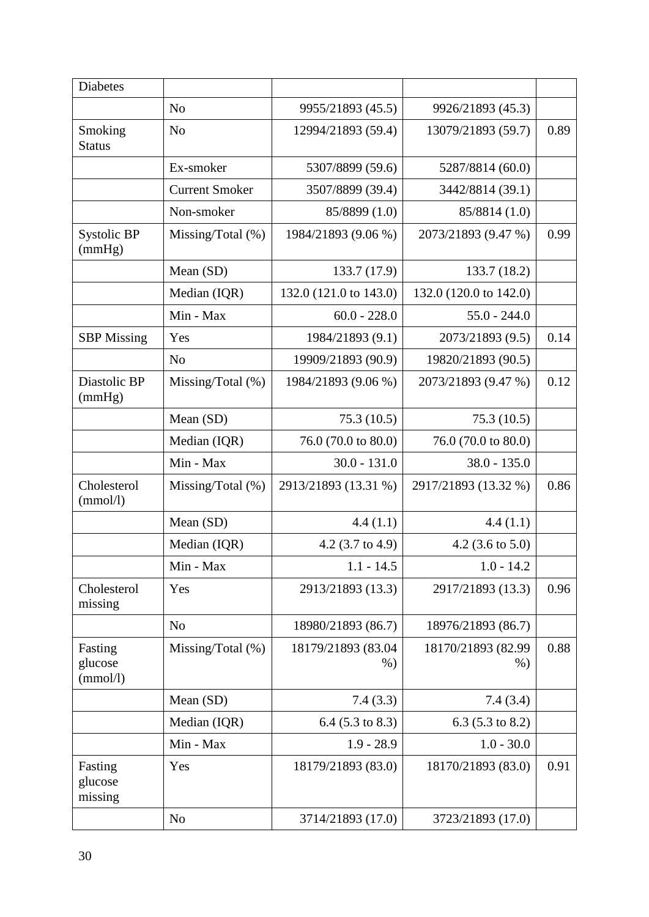| <b>Diabetes</b>                |                       |                             |                             |      |
|--------------------------------|-----------------------|-----------------------------|-----------------------------|------|
|                                | N <sub>o</sub>        | 9955/21893 (45.5)           | 9926/21893 (45.3)           |      |
| Smoking<br><b>Status</b>       | N <sub>o</sub>        | 12994/21893 (59.4)          | 13079/21893 (59.7)          | 0.89 |
|                                | Ex-smoker             | 5307/8899 (59.6)            | 5287/8814 (60.0)            |      |
|                                | <b>Current Smoker</b> | 3507/8899 (39.4)            | 3442/8814 (39.1)            |      |
|                                | Non-smoker            | 85/8899 (1.0)               | 85/8814 (1.0)               |      |
| Systolic BP<br>(mmHg)          | Missing/Total (%)     | 1984/21893 (9.06 %)         | 2073/21893 (9.47 %)         | 0.99 |
|                                | Mean (SD)             | 133.7 (17.9)                | 133.7 (18.2)                |      |
|                                | Median (IQR)          | 132.0 (121.0 to 143.0)      | 132.0 (120.0 to 142.0)      |      |
|                                | Min - Max             | $60.0 - 228.0$              | $55.0 - 244.0$              |      |
| <b>SBP</b> Missing             | Yes                   | 1984/21893 (9.1)            | 2073/21893 (9.5)            | 0.14 |
|                                | N <sub>o</sub>        | 19909/21893 (90.9)          | 19820/21893 (90.5)          |      |
| Diastolic BP<br>(mmHg)         | Missing/Total $(\%)$  | 1984/21893 (9.06 %)         | 2073/21893 (9.47 %)         | 0.12 |
|                                | Mean (SD)             | 75.3(10.5)                  | 75.3(10.5)                  |      |
|                                | Median (IQR)          | 76.0 (70.0 to 80.0)         | 76.0 (70.0 to 80.0)         |      |
|                                | Min - Max             | $30.0 - 131.0$              | $38.0 - 135.0$              |      |
| Cholesterol<br>(mmol/l)        | Missing/Total $(\%)$  | 2913/21893 (13.31 %)        | 2917/21893 (13.32 %)        | 0.86 |
|                                | Mean (SD)             | 4.4(1.1)                    | 4.4(1.1)                    |      |
|                                | Median (IQR)          | 4.2 $(3.7 \text{ to } 4.9)$ | 4.2 (3.6 to 5.0)            |      |
|                                | Min - Max             | $1.1 - 14.5$                | $1.0 - 14.2$                |      |
| Cholesterol<br>missing         | Yes                   | 2913/21893 (13.3)           | 2917/21893 (13.3)           | 0.96 |
|                                | N <sub>o</sub>        | 18980/21893 (86.7)          | 18976/21893 (86.7)          |      |
| Fasting<br>glucose<br>(mmol/l) | Missing/Total $(\%)$  | 18179/21893 (83.04<br>$%$ ) | 18170/21893 (82.99<br>$%$ ) | 0.88 |
|                                | Mean (SD)             | 7.4(3.3)                    | 7.4(3.4)                    |      |
|                                | Median (IQR)          | $6.4$ (5.3 to 8.3)          | 6.3 $(5.3 \text{ to } 8.2)$ |      |
|                                | Min - Max             | $1.9 - 28.9$                | $1.0 - 30.0$                |      |
| Fasting<br>glucose<br>missing  | Yes                   | 18179/21893 (83.0)          | 18170/21893 (83.0)          | 0.91 |
|                                | N <sub>o</sub>        | 3714/21893 (17.0)           | 3723/21893 (17.0)           |      |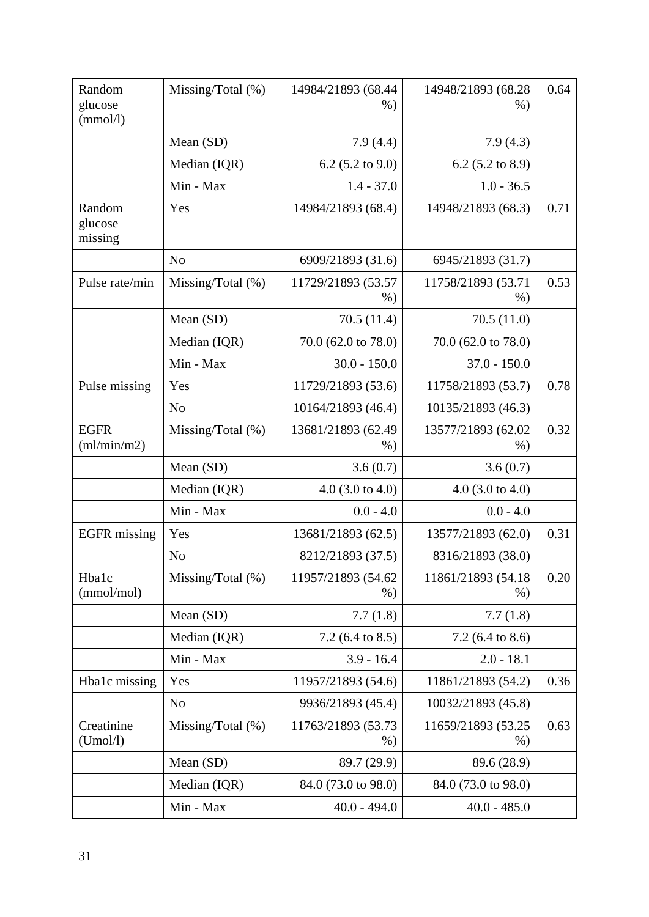| Random<br>glucose<br>(mmol/l) | Missing/Total $(\%)$ | 14984/21893 (68.44<br>$%$ ) | 14948/21893 (68.28<br>$%$ )  | 0.64 |
|-------------------------------|----------------------|-----------------------------|------------------------------|------|
|                               | Mean (SD)            | 7.9(4.4)                    | 7.9(4.3)                     |      |
|                               | Median (IQR)         | 6.2 $(5.2 \text{ to } 9.0)$ | 6.2 $(5.2 \text{ to } 8.9)$  |      |
|                               | Min - Max            | $1.4 - 37.0$                | $1.0 - 36.5$                 |      |
| Random<br>glucose<br>missing  | Yes                  | 14984/21893 (68.4)          | 14948/21893 (68.3)           | 0.71 |
|                               | N <sub>o</sub>       | 6909/21893 (31.6)           | 6945/21893 (31.7)            |      |
| Pulse rate/min                | Missing/Total $(\%)$ | 11729/21893 (53.57<br>$%$ ) | 11758/21893 (53.71<br>$%$ )  | 0.53 |
|                               | Mean (SD)            | 70.5(11.4)                  | 70.5(11.0)                   |      |
|                               | Median (IQR)         | 70.0 (62.0 to 78.0)         | 70.0 (62.0 to 78.0)          |      |
|                               | Min - Max            | $30.0 - 150.0$              | $37.0 - 150.0$               |      |
| Pulse missing                 | Yes                  | 11729/21893 (53.6)          | 11758/21893 (53.7)           | 0.78 |
|                               | N <sub>o</sub>       | 10164/21893 (46.4)          | 10135/21893 (46.3)           |      |
| <b>EGFR</b><br>(ml/min/m2)    | Missing/Total (%)    | 13681/21893 (62.49<br>$%$ ) | 13577/21893 (62.02<br>$%$ )  | 0.32 |
|                               | Mean (SD)            | 3.6(0.7)                    | 3.6(0.7)                     |      |
|                               | Median (IQR)         | $4.0$ (3.0 to 4.0)          | 4.0 $(3.0 \text{ to } 4.0)$  |      |
|                               | Min - Max            | $0.0 - 4.0$                 | $0.0 - 4.0$                  |      |
| <b>EGFR</b> missing           | Yes                  | 13681/21893 (62.5)          | 13577/21893 (62.0)           | 0.31 |
|                               | N <sub>o</sub>       | 8212/21893 (37.5)           | 8316/21893 (38.0)            |      |
| Hba1c<br>(mmol/mol)           | Missing/Total $(\%)$ | 11957/21893 (54.62<br>$%$ ) | 11861/21893 (54.18)<br>$%$ ) | 0.20 |
|                               | Mean (SD)            | 7.7(1.8)                    | 7.7(1.8)                     |      |
|                               | Median (IQR)         | 7.2 $(6.4 \text{ to } 8.5)$ | $7.2$ (6.4 to 8.6)           |      |
|                               | Min - Max            | $3.9 - 16.4$                | $2.0 - 18.1$                 |      |
| Hba1c missing                 | Yes                  | 11957/21893 (54.6)          | 11861/21893 (54.2)           | 0.36 |
|                               | N <sub>o</sub>       | 9936/21893 (45.4)           | 10032/21893 (45.8)           |      |
| Creatinine<br>(Umol/l)        | Missing/Total $(\%)$ | 11763/21893 (53.73<br>$%$ ) | 11659/21893 (53.25<br>$%$ )  | 0.63 |
|                               | Mean (SD)            | 89.7 (29.9)                 | 89.6 (28.9)                  |      |
|                               | Median (IQR)         | 84.0 (73.0 to 98.0)         | 84.0 (73.0 to 98.0)          |      |
|                               | Min - Max            | $40.0 - 494.0$              | $40.0 - 485.0$               |      |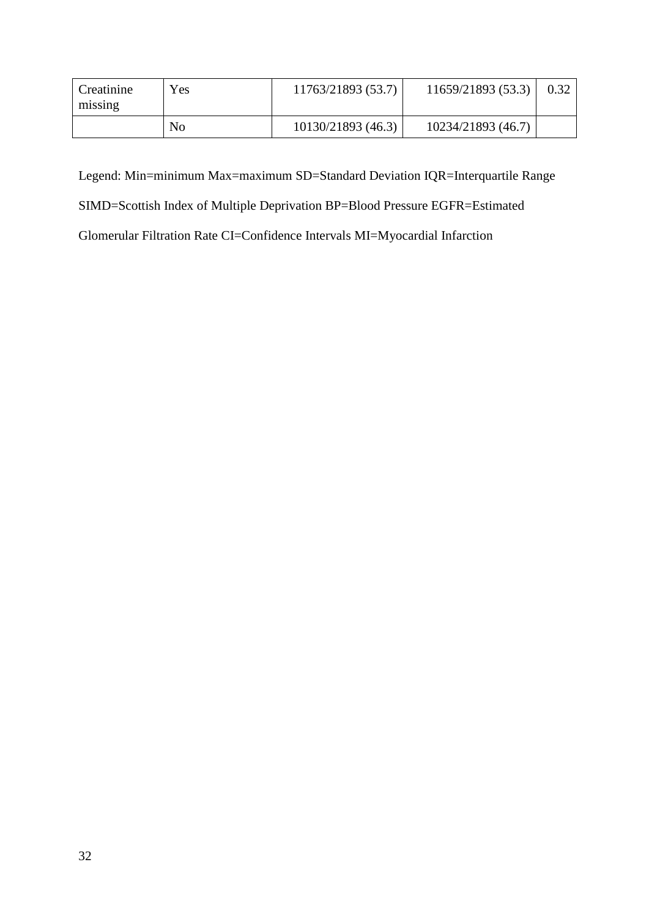| Creatinine<br>missing | Yes | 11763/21893 (53.7) | 11659/21893 (53.3) |  |
|-----------------------|-----|--------------------|--------------------|--|
|                       | No  | 10130/21893 (46.3) | 10234/21893 (46.7) |  |

Legend: Min=minimum Max=maximum SD=Standard Deviation IQR=Interquartile Range

SIMD=Scottish Index of Multiple Deprivation BP=Blood Pressure EGFR=Estimated

Glomerular Filtration Rate CI=Confidence Intervals MI=Myocardial Infarction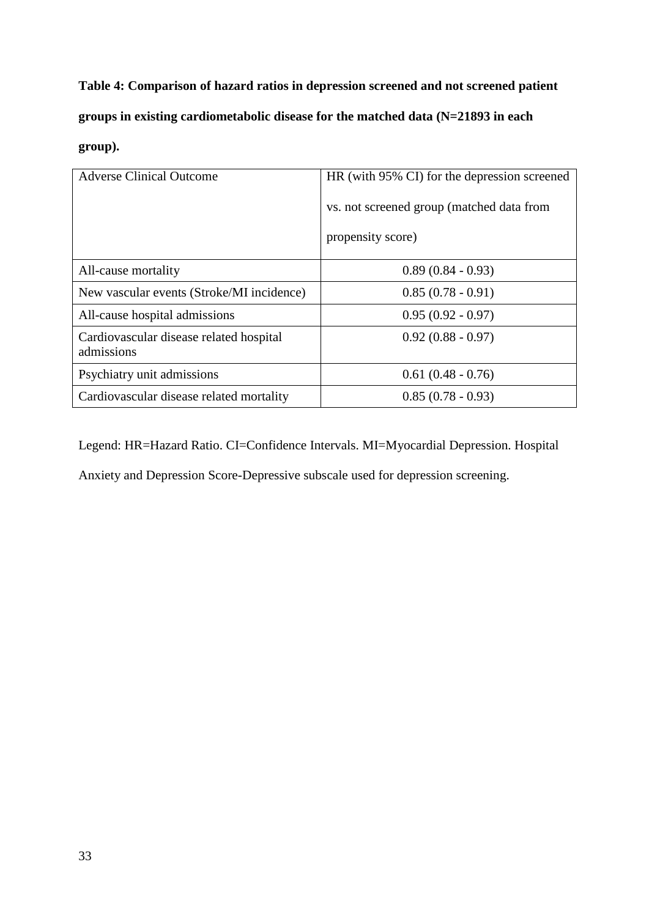**Table 4: Comparison of hazard ratios in depression screened and not screened patient groups in existing cardiometabolic disease for the matched data (N=21893 in each group).** 

| <b>Adverse Clinical Outcome</b>                       | HR (with 95% CI) for the depression screened |
|-------------------------------------------------------|----------------------------------------------|
|                                                       | vs. not screened group (matched data from    |
|                                                       | propensity score)                            |
| All-cause mortality                                   | $0.89(0.84 - 0.93)$                          |
| New vascular events (Stroke/MI incidence)             | $0.85(0.78-0.91)$                            |
| All-cause hospital admissions                         | $0.95(0.92 - 0.97)$                          |
| Cardiovascular disease related hospital<br>admissions | $0.92(0.88 - 0.97)$                          |
| Psychiatry unit admissions                            | $0.61(0.48 - 0.76)$                          |
| Cardiovascular disease related mortality              | $0.85(0.78 - 0.93)$                          |

Legend: HR=Hazard Ratio. CI=Confidence Intervals. MI=Myocardial Depression. Hospital

Anxiety and Depression Score-Depressive subscale used for depression screening.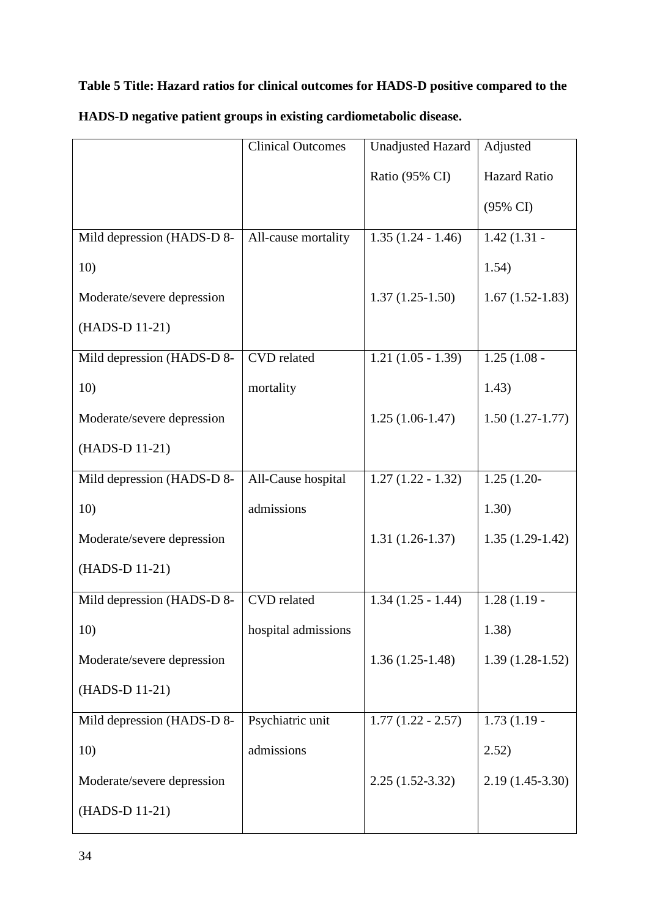# **Table 5 Title: Hazard ratios for clinical outcomes for HADS-D positive compared to the**

|                            | <b>Clinical Outcomes</b> | <b>Unadjusted Hazard</b> | Adjusted            |
|----------------------------|--------------------------|--------------------------|---------------------|
|                            |                          | Ratio (95% CI)           | <b>Hazard Ratio</b> |
|                            |                          |                          | (95% CI)            |
| Mild depression (HADS-D 8- | All-cause mortality      | $1.35(1.24 - 1.46)$      | $1.42(1.31 -$       |
| 10)                        |                          |                          | 1.54)               |
| Moderate/severe depression |                          | $1.37(1.25-1.50)$        | $1.67(1.52-1.83)$   |
| (HADS-D 11-21)             |                          |                          |                     |
| Mild depression (HADS-D 8- | <b>CVD</b> related       | $1.21(1.05 - 1.39)$      | $1.25(1.08 -$       |
| 10)                        | mortality                |                          | 1.43)               |
| Moderate/severe depression |                          | $1.25(1.06-1.47)$        | $1.50(1.27-1.77)$   |
| (HADS-D 11-21)             |                          |                          |                     |
| Mild depression (HADS-D 8- | All-Cause hospital       | $1.27(1.22 - 1.32)$      | $1.25(1.20-$        |
| 10)                        | admissions               |                          | 1.30)               |
| Moderate/severe depression |                          | $1.31(1.26-1.37)$        | $1.35(1.29-1.42)$   |
| (HADS-D 11-21)             |                          |                          |                     |
| Mild depression (HADS-D 8- | <b>CVD</b> related       | $1.34(1.25 - 1.44)$      | $1.28(1.19 -$       |
| 10)                        | hospital admissions      |                          | 1.38)               |
| Moderate/severe depression |                          | $1.36(1.25-1.48)$        | $1.39(1.28-1.52)$   |
| (HADS-D 11-21)             |                          |                          |                     |
| Mild depression (HADS-D 8- | Psychiatric unit         | $1.77(1.22 - 2.57)$      | $1.73(1.19 -$       |
| 10)                        | admissions               |                          | 2.52)               |
| Moderate/severe depression |                          | $2.25(1.52-3.32)$        | $2.19(1.45-3.30)$   |
| (HADS-D 11-21)             |                          |                          |                     |

# **HADS-D negative patient groups in existing cardiometabolic disease.**